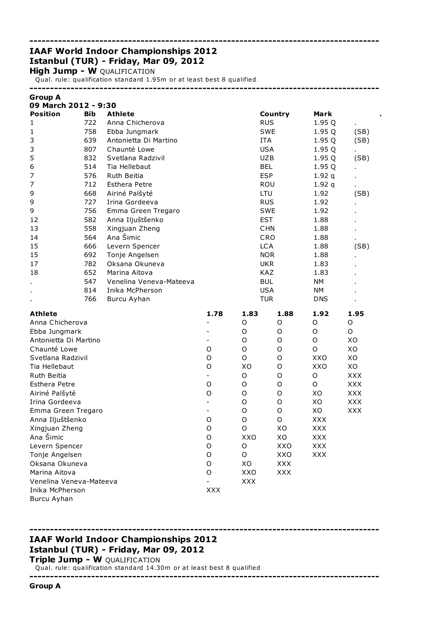## ------------------------------------------------------------------------------------- IAAF World Indoor Championships 2012 Istanbul (TUR) - Friday, Mar 09, 2012

**High Jump - W QUALIFICATION** 

Qual. rule: qualification standard 1.95m or at least best 8 qualified.

-------------------------------------------------------------------------------------

| <b>Group A</b><br>09 March 2012 - 9:30 |     |                         |                          |             |             |             |            |
|----------------------------------------|-----|-------------------------|--------------------------|-------------|-------------|-------------|------------|
| <b>Position</b>                        | Bib | <b>Athlete</b>          |                          |             | Country     | Mark        |            |
| 1                                      | 722 | Anna Chicherova         |                          | <b>RUS</b>  |             | 1.95 Q      |            |
| 1                                      | 758 | Ebba Jungmark           |                          |             | <b>SWE</b>  | 1.95 Q      | (SB)       |
| 3                                      | 639 | Antonietta Di Martino   |                          | <b>ITA</b>  |             | 1.95 Q      | (SB)       |
| 3                                      | 807 | Chaunté Lowe            |                          |             | <b>USA</b>  | 1.95 Q      |            |
| 5                                      | 832 | Svetlana Radzivil       |                          |             | <b>UZB</b>  | 1.95 Q      | (SB)       |
| 6                                      | 514 | Tia Hellebaut           |                          | <b>BEL</b>  |             | 1.95 Q      |            |
| 7                                      | 576 | Ruth Beitia             |                          | <b>ESP</b>  |             | 1.92q       |            |
| 7                                      | 712 | <b>Esthera Petre</b>    |                          |             | ROU         | 1.92q       |            |
| 9                                      | 668 | Airiné Palšyté          |                          | LTU         |             | 1.92        | (SB)       |
| 9                                      | 727 | Irina Gordeeva          |                          | <b>RUS</b>  |             | 1.92        |            |
| 9                                      | 756 | Emma Green Tregaro      |                          |             | <b>SWE</b>  | 1.92        |            |
| 12                                     | 582 | Anna Iljuštšenko        |                          | <b>EST</b>  |             | 1.88        |            |
| 13                                     | 558 | Xingjuan Zheng          |                          |             | <b>CHN</b>  | 1.88        |            |
| 14                                     | 564 | Ana Šimic               |                          |             | CRO         | 1.88        |            |
| 15                                     | 666 | Levern Spencer          |                          | <b>LCA</b>  |             | 1.88        | (SB)       |
| 15                                     | 692 | Tonje Angelsen          |                          |             | <b>NOR</b>  | 1.88        |            |
| 17                                     | 782 | Oksana Okuneva          |                          |             | <b>UKR</b>  | 1.83        |            |
| 18                                     | 652 | Marina Aitova           |                          |             | KAZ         | 1.83        |            |
|                                        | 547 | Venelina Veneva-Mateeva |                          | <b>BUL</b>  |             | <b>NM</b>   |            |
|                                        | 814 | Inika McPherson         |                          |             | <b>USA</b>  | <b>NM</b>   |            |
|                                        | 766 | Burcu Ayhan             |                          | <b>TUR</b>  |             | <b>DNS</b>  |            |
| <b>Athlete</b>                         |     |                         | 1.78                     | 1.83        | 1.88        | 1.92        | 1.95       |
| Anna Chicherova                        |     |                         |                          | O           | O           | O           | O          |
| Ebba Jungmark                          |     |                         |                          | O           | O           | $\mathsf O$ | O          |
| Antonietta Di Martino                  |     |                         |                          | O           | O           | O           | XO         |
| Chaunté Lowe                           |     |                         | $\circ$                  | O           | O           | $\mathsf O$ | XO         |
| Svetlana Radzivil                      |     |                         | $\circ$                  | $\mathsf O$ | O           | XXO         | XO         |
| Tia Hellebaut                          |     |                         | $\circ$                  | XO          | O           | XXO         | XO         |
| Ruth Beitia                            |     |                         | $\overline{\phantom{0}}$ | O           | O           | $\mathsf O$ | <b>XXX</b> |
| Esthera Petre                          |     |                         | $\circ$                  | O           | O           | O           | <b>XXX</b> |
| Airiné Palšyté                         |     |                         | $\circ$                  | O           | O           | XO          | <b>XXX</b> |
| Irina Gordeeva                         |     |                         | $\overline{\phantom{0}}$ | O           | O           | XO          | <b>XXX</b> |
| Emma Green Tregaro                     |     |                         |                          | O           | $\mathsf O$ | XO          | <b>XXX</b> |
| Anna Iljuštšenko                       |     |                         | O                        | O           | O           | <b>XXX</b>  |            |
| Xingjuan Zheng                         |     |                         | O                        | $\mathsf O$ | XO          | <b>XXX</b>  |            |
| Ana Šimic                              |     |                         | O                        | XXO         | XO          | XXX         |            |
| Levern Spencer                         |     |                         | O                        | O           | XXO         | <b>XXX</b>  |            |
| Tonje Angelsen                         |     |                         | O                        | O           | XXO         | <b>XXX</b>  |            |
| Oksana Okuneva                         |     |                         | O                        | XO          | <b>XXX</b>  |             |            |
| Marina Aitova                          |     |                         | O                        | XXO         | <b>XXX</b>  |             |            |
| Venelina Veneva-Mateeva                |     |                         |                          | XXX         |             |             |            |
| Inika McPherson                        |     |                         | <b>XXX</b>               |             |             |             |            |
| Burcu Ayhan                            |     |                         |                          |             |             |             |            |

-------------------------------------------------------------------------------------

# -------------------------------------------------------------------------------------

## IAAF World Indoor Championships 2012 Istanbul (TUR) - Friday, Mar 09, 2012

Triple Jump - W QUALIFICATION

Qual. rule: qualification standard 14.30m or at least best 8 qualified.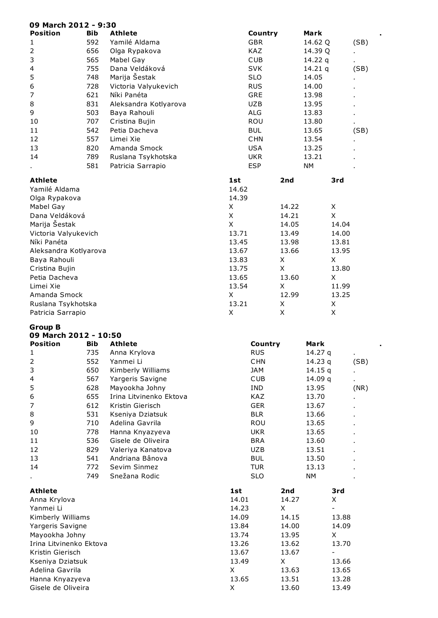| 09 March 2012 - 9:30                    |            |                         |             |       |                          |      |
|-----------------------------------------|------------|-------------------------|-------------|-------|--------------------------|------|
| <b>Position</b>                         | <b>Bib</b> | <b>Athlete</b>          | Country     |       | Mark                     |      |
| 1                                       | 592        | Yamilé Aldama           | <b>GBR</b>  |       | 14.62 Q                  | (SB) |
| 2                                       | 656        | Olga Rypakova           | KAZ         |       | 14.39 Q                  |      |
| 3                                       | 565        | Mabel Gay               | <b>CUB</b>  |       | 14.22 $q$                |      |
| 4                                       | 755        | Dana Veldáková          | <b>SVK</b>  |       | 14.21 $q$                | (SB) |
| 5                                       | 748        | Marija Šestak           | <b>SLO</b>  |       | 14.05                    |      |
| 6                                       | 728        | Victoria Valyukevich    | <b>RUS</b>  |       | 14.00                    |      |
| 7                                       | 621        | Níki Panéta             | <b>GRE</b>  |       | 13.98                    |      |
| 8                                       | 831        | Aleksandra Kotlyarova   | <b>UZB</b>  |       | 13.95                    |      |
| 9                                       | 503        | Baya Rahouli            | <b>ALG</b>  |       | 13.83                    |      |
| 10                                      | 707        | Cristina Bujin          | ROU         |       | 13.80                    |      |
| 11                                      | 542        | Petia Dacheva           | <b>BUL</b>  |       | 13.65                    | (SB) |
| 12                                      | 557        | Limei Xie               | <b>CHN</b>  |       | 13.54                    |      |
| 13                                      | 820        | Amanda Smock            | <b>USA</b>  |       | 13.25                    |      |
| 14                                      | 789        | Ruslana Tsykhotska      | <b>UKR</b>  |       | 13.21                    |      |
|                                         | 581        | Patricia Sarrapio       | <b>ESP</b>  |       | <b>NM</b>                |      |
| <b>Athlete</b>                          |            |                         | 1st         | 2nd   | 3rd                      |      |
| Yamilé Aldama                           |            |                         | 14.62       |       |                          |      |
| Olga Rypakova                           |            |                         | 14.39       |       |                          |      |
| Mabel Gay                               |            |                         | X           | 14.22 | X                        |      |
| Dana Veldáková                          |            |                         | $\mathsf X$ | 14.21 | X                        |      |
| Marija Šestak                           |            |                         | X           | 14.05 | 14.04                    |      |
| Victoria Valyukevich                    |            |                         | 13.71       | 13.49 | 14.00                    |      |
| Níki Panéta                             |            |                         | 13.45       | 13.98 | 13.81                    |      |
| Aleksandra Kotlyarova                   |            |                         | 13.67       | 13.66 | 13.95                    |      |
| Baya Rahouli                            |            |                         | 13.83       | Χ     | X                        |      |
| Cristina Bujin                          |            |                         | 13.75       | X     | 13.80                    |      |
| Petia Dacheva                           |            |                         | 13.65       | 13.60 | X                        |      |
| Limei Xie                               |            |                         | 13.54       | Χ     | 11.99                    |      |
| Amanda Smock                            |            |                         | X           | 12.99 | 13.25                    |      |
| Ruslana Tsykhotska                      |            |                         | 13.21       | Χ     | X                        |      |
| Patricia Sarrapio                       |            |                         | X           | Χ     | X                        |      |
|                                         |            |                         |             |       |                          |      |
| <b>Group B</b><br>09 March 2012 - 10:50 |            |                         |             |       |                          |      |
| Position                                | <b>Bib</b> | <b>Athlete</b>          | Country     |       | Mark                     | ٠    |
| ı                                       | 735        | Anna Krylova            | <b>RUS</b>  |       | 14.27 q                  | ×,   |
| 2                                       | 552        | Yanmei Li               | <b>CHN</b>  |       | 14.23 q                  | (SB) |
| 3                                       | 650        | Kimberly Williams       | <b>JAM</b>  |       | 14.15q                   |      |
| 4                                       | 567        | Yargeris Savigne        | <b>CUB</b>  |       | 14.09 q                  |      |
| 5                                       | 628        | Mayookha Johny          | IND         |       | 13.95                    | (NR) |
| 6                                       | 655        | Irina Litvinenko Ektova | KAZ         |       | 13.70                    |      |
| 7                                       | 612        | Kristin Gierisch        | <b>GER</b>  |       | 13.67                    |      |
| 8                                       | 531        | Kseniya Dziatsuk        | <b>BLR</b>  |       | 13.66                    |      |
| 9                                       | 710        | Adelina Gavrila         | ROU         |       | 13.65                    |      |
| 10                                      | 778        | Hanna Knyazyeva         | <b>UKR</b>  |       | 13.65                    |      |
| 11                                      | 536        | Gisele de Oliveira      | <b>BRA</b>  |       | 13.60                    |      |
| 12                                      | 829        | Valeriya Kanatova       | <b>UZB</b>  |       | 13.51                    |      |
| 13                                      | 541        | Andriana Bânova         | <b>BUL</b>  |       | 13.50                    |      |
| 14                                      | 772        | Sevim Sinmez            | <b>TUR</b>  |       | 13.13                    |      |
|                                         | 749        | Snežana Rodic           | <b>SLO</b>  |       | NΜ                       |      |
|                                         |            |                         |             |       |                          |      |
| <b>Athlete</b>                          |            |                         | 1st         | 2nd   | 3rd                      |      |
| Anna Krylova                            |            |                         | 14.01       | 14.27 | X                        |      |
| Yanmei Li                               |            |                         | 14.23       | X     | $\overline{\phantom{0}}$ |      |
| Kimberly Williams                       |            |                         | 14.09       | 14.15 | 13.88                    |      |
| Yargeris Savigne                        |            |                         | 13.84       | 14.00 | 14.09                    |      |
| Mayookha Johny                          |            |                         | 13.74       | 13.95 | X                        |      |
| Irina Litvinenko Ektova                 |            |                         | 13.26       | 13.62 | 13.70                    |      |
| Kristin Gierisch                        |            |                         | 13.67       | 13.67 | $\overline{\phantom{0}}$ |      |
| Kseniya Dziatsuk                        |            |                         | 13.49       | X     | 13.66                    |      |
| Adelina Gavrila                         |            |                         | X           | 13.63 | 13.65                    |      |
| Hanna Knyazyeva                         |            |                         | 13.65       | 13.51 | 13.28                    |      |

Gisele de Oliveira X 13.60 13.49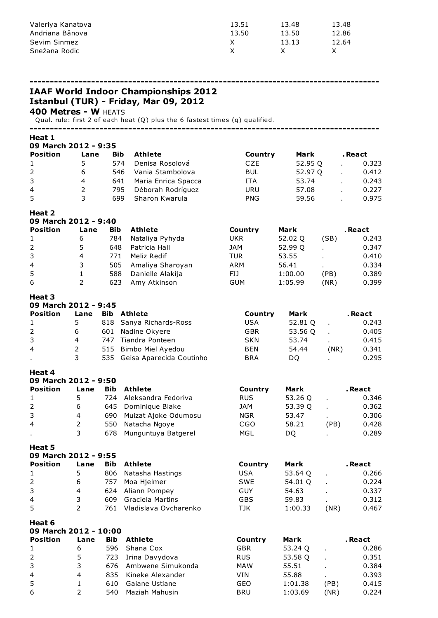| Valeriya Kanatova | 13.51 | 13.48 | 13.48 |
|-------------------|-------|-------|-------|
| Andriana Bânova   | 13.50 | 13.50 | 12.86 |
| Sevim Sinmez      |       | 13.13 | 12.64 |
| Snežana Rodic     |       |       |       |

------------------------------------------------------------------------------------- IAAF World Indoor Championships 2012 Istanbul (TUR) - Friday, Mar 09, 2012 **400 Metres - W HEATS** Qual. rule: first 2 of each heat (Q) plus the 6 fastest times (q) qualified. ------------------------------------------------------------------------------------- Heat 1 09 March 2012 - 9:35 Position Lane Bib Athlete **Country Mark** . React 1 5 574 Denisa Rosolová CZE 52.95 Q . 0.323 2 6 546 Vania Stambolova BUL 52.97 Q . 0.412<br>3 4 641 Maria Enrica Spacca ITA 53.74 . 0.243 3 4 641 Maria Enrica Spacca ITA 53.74 . 0.243 4 2 795 Déborah Rodríguez URU 57.08 . 0.227 5 3 699 Sharon Kwarula PNG 59.56 . 0.975

#### Heat 2

| 09 March 2012 - 9:40 |      |            |                  |            |         |      |         |  |  |  |  |
|----------------------|------|------------|------------------|------------|---------|------|---------|--|--|--|--|
| <b>Position</b>      | Lane | <b>Bib</b> | Athlete          | Country    | Mark    |      | . React |  |  |  |  |
| $\mathbf{1}$         | 6    | 784        | Nataliya Pyhyda  | UKR        | 52.02 Q | (SB) | 0.243   |  |  |  |  |
| $2^{\circ}$          | 5.   | 648        | Patricia Hall    | <b>JAM</b> | 52.99 Q |      | 0.347   |  |  |  |  |
| 3                    | 4    | 771        | Meliz Redif      | TUR        | 53.55   |      | 0.410   |  |  |  |  |
| $\overline{4}$       | 3    | 505        | Amaliya Sharoyan | <b>ARM</b> | 56.41   |      | 0.334   |  |  |  |  |
| 5                    |      | 588        | Danielle Alakija | FIJ        | 1:00.00 | (PB) | 0.389   |  |  |  |  |
| 6                    |      | 623        | Amy Atkinson     | <b>GUM</b> | 1:05.99 | (NR) | 0.399   |  |  |  |  |

#### Heat 3

| 09 March 2012 - 9:45 |      |            |                              |            |         |      |         |  |  |  |  |
|----------------------|------|------------|------------------------------|------------|---------|------|---------|--|--|--|--|
| <b>Position</b>      | Lane | <b>Bib</b> | <b>Athlete</b>               | Country    | Mark    |      | . React |  |  |  |  |
|                      | 5    |            | 818 Sanya Richards-Ross      | USA        | 52.81 Q |      | 0.243   |  |  |  |  |
| 2                    | 6    | 601        | Nadine Okyere                | <b>GBR</b> | 53.56 Q |      | 0.405   |  |  |  |  |
| 3                    | 4    | 747        | Tiandra Ponteen              | <b>SKN</b> | 53.74   |      | 0.415   |  |  |  |  |
| $\overline{4}$       | 2    |            | 515 Bimbo Miel Ayedou        | <b>BEN</b> | 54.44   | (NR) | 0.341   |  |  |  |  |
|                      | 3    |            | 535 Geisa Aparecida Coutinho | <b>BRA</b> | DO      |      | 0.295   |  |  |  |  |

#### Heat 4

| 09 March 2012 - 9:50 |      |            |                      |            |         |      |         |  |  |  |  |
|----------------------|------|------------|----------------------|------------|---------|------|---------|--|--|--|--|
| Position             | Lane | <b>Bib</b> | <b>Athlete</b>       | Country    | Mark    |      | . React |  |  |  |  |
|                      |      | 724        | Aleksandra Fedoriva  | RUS.       | 53.26 Q |      | 0.346   |  |  |  |  |
| $\overline{2}$       | 6    |            | 645 Dominique Blake  | JAM        | 53.39 Q |      | 0.362   |  |  |  |  |
| 3                    | 4    | 690        | Muizat Ajoke Odumosu | <b>NGR</b> | 53.47   |      | 0.306   |  |  |  |  |
| $\overline{4}$       | 2    | 550        | Natacha Ngoye        | CGO        | 58.21   | (PB) | 0.428   |  |  |  |  |
| $\cdot$              | 3    | 678        | Munguntuya Batgerel  | MGL        | DO      |      | 0.289   |  |  |  |  |

#### Heat 5

| 09 March 2012 - 9:55 |      |            |                       |            |         |      |         |  |  |  |  |
|----------------------|------|------------|-----------------------|------------|---------|------|---------|--|--|--|--|
| <b>Position</b>      | Lane | <b>Bib</b> | Athlete               | Country    | Mark    |      | . React |  |  |  |  |
| $\mathbf{1}$         | 5    | 806        | Natasha Hastings      | USA        | 53.64 Q |      | 0.266   |  |  |  |  |
| 2                    | 6    | 757        | Moa Hjelmer           | <b>SWE</b> | 54.01 Q |      | 0.224   |  |  |  |  |
| 3                    | 4    |            | 624 Aliann Pompey     | GUY        | 54.63   |      | 0.337   |  |  |  |  |
| $\overline{4}$       | 3    | 609        | Graciela Martins      | GBS        | 59.83   |      | 0.312   |  |  |  |  |
| 5                    |      | 761        | Vladislava Ovcharenko | TJK        | 1:00.33 | (NR) | 0.467   |  |  |  |  |

| 09 March 2012 - 10:00 |      |            |                       |            |         |      |         |  |  |  |  |
|-----------------------|------|------------|-----------------------|------------|---------|------|---------|--|--|--|--|
| <b>Position</b>       | Lane | <b>Bib</b> | Athlete               | Country    | Mark    |      | . React |  |  |  |  |
|                       | 6    |            | 596 Shana Cox         | <b>GBR</b> | 53.24 Q |      | 0.286   |  |  |  |  |
| <sup>2</sup>          | 5.   |            | 723 Irina Davydova    | <b>RUS</b> | 53.58 Q |      | 0.351   |  |  |  |  |
| 3                     | 3.   |            | 676 Ambwene Simukonda | <b>MAW</b> | 55.51   |      | 0.384   |  |  |  |  |
| $\overline{4}$        | 4    |            | 835 Kineke Alexander  | VIN        | 55.88   |      | 0.393   |  |  |  |  |
| -5                    |      | 610        | Gaiane Ustiane        | GEO        | 1:01.38 | (PB) | 0.415   |  |  |  |  |
| 6                     | 2    | 540        | Maziah Mahusin        | <b>BRU</b> | 1:03.69 | (NR) | 0.224   |  |  |  |  |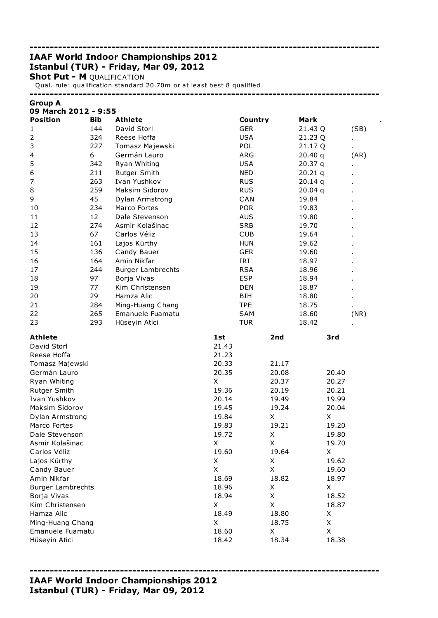# IAAF World Indoor Championships 2012 Istanbul (TUR) - Friday, Mar 09, 2012

**Shot Put - M QUALIFICATION** 

Group A

Qual. rule: qualification standard 20.70m or at least best 8 qualified.

-------------------------------------------------------------------------------------

-------------------------------------------------------------------------------------

-------------------------------------------------------------------------------------

| 09 March 2012 - 9:55     |            |                          |       |            |         |       |
|--------------------------|------------|--------------------------|-------|------------|---------|-------|
| <b>Position</b>          | <b>Bib</b> | <b>Athlete</b>           |       | Country    | Mark    |       |
| 1                        | 144        | David Storl              |       | <b>GER</b> | 21.43 Q | (SB)  |
| $\overline{2}$           | 324        | Reese Hoffa              |       | <b>USA</b> | 21.23 Q | ×,    |
| 3                        | 227        | Tomasz Majewski          |       | POL        | 21.17 Q |       |
| 4                        | 6          | Germán Lauro             |       | ARG        | 20.40q  | (AR)  |
| 5                        | 342        | Ryan Whiting             |       | <b>USA</b> | 20.37q  |       |
| 6                        | 211        | Rutger Smith             |       | <b>NED</b> | 20.21q  |       |
| 7                        | 263        | Ivan Yushkov             |       | <b>RUS</b> | 20.14q  |       |
| 8                        | 259        | Maksim Sidorov           |       | <b>RUS</b> | 20.04q  |       |
| 9                        | 45         | Dylan Armstrong          |       | CAN        | 19.84   |       |
| 10                       | 234        | Marco Fortes             |       | <b>POR</b> | 19.83   |       |
| 11                       | 12         | Dale Stevenson           |       | <b>AUS</b> | 19.80   |       |
| 12                       | 274        | Asmir Kolašinac          |       | <b>SRB</b> | 19.70   |       |
| 13                       | 67         | Carlos Véliz             |       | <b>CUB</b> | 19.64   |       |
| 14                       | 161        | Lajos Kürthy             |       | <b>HUN</b> | 19.62   |       |
| 15                       | 136        | Candy Bauer              |       | <b>GER</b> | 19.60   |       |
| 16                       | 164        | Amin Nikfar              |       | IRI        | 18.97   |       |
| 17                       | 244        | <b>Burger Lambrechts</b> |       | <b>RSA</b> | 18.96   |       |
| 18                       | 97         | Borja Vivas              |       | <b>ESP</b> | 18.94   |       |
| 19                       | 77         | Kim Christensen          |       | <b>DEN</b> | 18.87   |       |
| 20                       | 29         | Hamza Alic               |       | BIH        | 18.80   |       |
| 21                       | 284        | Ming-Huang Chang         |       | <b>TPE</b> | 18.75   |       |
| 22                       | 265        | Emanuele Fuamatu         |       | SAM        | 18.60   | (NR)  |
| 23                       | 293        | Hüseyin Atici            |       | <b>TUR</b> | 18.42   |       |
| <b>Athlete</b>           |            |                          | 1st   | 2nd        |         | 3rd   |
| David Storl              |            |                          | 21.43 |            |         |       |
| Reese Hoffa              |            |                          | 21.23 |            |         |       |
| Tomasz Majewski          |            |                          | 20.33 | 21.17      |         |       |
| Germán Lauro             |            |                          | 20.35 | 20.08      |         | 20.40 |
| Ryan Whiting             |            |                          | X     | 20.37      |         | 20.27 |
| Rutger Smith             |            |                          | 19.36 | 20.19      |         | 20.21 |
| Ivan Yushkov             |            |                          | 20.14 | 19.49      |         | 19.99 |
| Maksim Sidorov           |            |                          | 19.45 | 19.24      |         | 20.04 |
| Dylan Armstrong          |            |                          | 19.84 | Χ          |         | X     |
| Marco Fortes             |            |                          | 19.83 | 19.21      |         | 19.20 |
| Dale Stevenson           |            |                          | 19.72 | Χ          |         | 19.80 |
| Asmir Kolašinac          |            |                          | X     | X          |         | 19.70 |
| Carlos Véliz             |            |                          | 19.60 | 19.64      |         | X     |
| Lajos Kürthy             |            |                          | X     | X          |         | 19.62 |
| Candy Bauer              |            |                          | X     | X          |         | 19.60 |
| Amin Nikfar              |            |                          | 18.69 | 18.82      |         | 18.97 |
| <b>Burger Lambrechts</b> |            |                          | 18.96 | Χ          |         | X     |
| Borja Vivas              |            |                          | 18.94 | X          |         | 18.52 |
| Kim Christensen          |            |                          | X     | X          |         | 18.87 |
| Hamza Alic               |            |                          | 18.49 | 18.80      |         | X     |
| Ming-Huang Chang         |            |                          | X     | 18.75      |         | X     |
| Emanuele Fuamatu         |            |                          | 18.60 | X          |         | X     |
| Hüseyin Atici            |            |                          | 18.42 | 18.34      |         | 18.38 |
|                          |            |                          |       |            |         |       |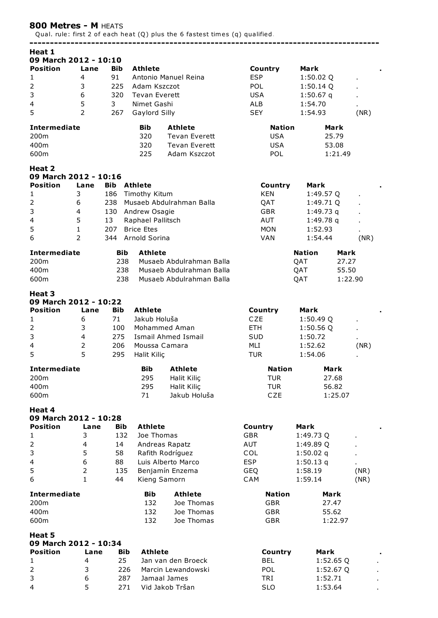## 800 Metres - M HEATS

Qual. rule: first 2 of each heat (Q) plus the 6 fastest times (q) qualified.

| Heat 1                  |                         |            |                      |                            |               |               |         |
|-------------------------|-------------------------|------------|----------------------|----------------------------|---------------|---------------|---------|
| 09 March 2012 - 10:10   |                         |            |                      |                            |               |               |         |
| <b>Position</b>         |                         | <b>Bib</b> | <b>Athlete</b>       |                            |               |               |         |
|                         | Lane                    |            |                      |                            | Country       | Mark          |         |
| $\mathbf{1}$            | 4                       | 91         |                      | Antonio Manuel Reina       | <b>ESP</b>    | 1:50.02 Q     |         |
| $\overline{2}$          | 3                       | 225        | Adam Kszczot         |                            | POL           | $1:50.14$ Q   |         |
| 3                       | 6                       | 320        | <b>Tevan Everett</b> |                            | <b>USA</b>    | $1:50.67$ q   |         |
| 4                       | 5                       | 3          | Nimet Gashi          |                            | <b>ALB</b>    | 1:54.70       |         |
| 5                       | $\overline{2}$          | 267        | Gaylord Silly        |                            | <b>SEY</b>    | 1:54.93       | (NR)    |
|                         |                         |            |                      |                            |               |               |         |
| <b>Intermediate</b>     |                         |            | <b>Bib</b>           | <b>Athlete</b>             | <b>Nation</b> | Mark          |         |
| 200m                    |                         |            | 320                  | <b>Tevan Everett</b>       | <b>USA</b>    | 25.79         |         |
| 400m                    |                         |            | 320                  | <b>Tevan Everett</b>       | <b>USA</b>    | 53.08         |         |
|                         |                         |            |                      |                            |               |               |         |
| 600m                    |                         |            | 225                  | Adam Kszczot               | POL           | 1:21.49       |         |
|                         |                         |            |                      |                            |               |               |         |
| Heat 2                  |                         |            |                      |                            |               |               |         |
| 09 March 2012 - 10:16   |                         |            |                      |                            |               |               |         |
| <b>Position</b>         | Lane                    | <b>Bib</b> | Athlete              |                            | Country       | Mark          |         |
| 1                       | 3                       | 186        | Timothy Kitum        |                            | <b>KEN</b>    | 1:49.57 Q     |         |
| $\overline{2}$          | 6                       | 238        |                      | Musaeb Abdulrahman Balla   | QAT           | 1:49.71 Q     |         |
| 3                       | 4                       | 130        | Andrew Osagie        |                            | <b>GBR</b>    | 1:49.73q      |         |
|                         |                         |            |                      |                            |               |               |         |
| $\overline{\mathbf{4}}$ | 5                       | 13         | Raphael Pallitsch    |                            | AUT           | 1:49.78q      |         |
| 5                       | $\mathbf{1}$            | 207        | <b>Brice Etes</b>    |                            | <b>MON</b>    | 1:52.93       |         |
| 6                       | $\overline{2}$          | 344        | Arnold Sorina        |                            | <b>VAN</b>    | 1:54.44       | (NR)    |
|                         |                         |            |                      |                            |               |               |         |
| <b>Intermediate</b>     |                         | Bib        | <b>Athlete</b>       |                            |               | <b>Nation</b> | Mark    |
| 200m                    |                         | 238        |                      | Musaeb Abdulrahman Balla   |               | QAT           | 27.27   |
| 400m                    |                         | 238        |                      | Musaeb Abdulrahman Balla   |               | QAT           | 55.50   |
| 600m                    |                         | 238        |                      | Musaeb Abdulrahman Balla   |               |               | 1:22.90 |
|                         |                         |            |                      |                            |               | QAT           |         |
| Heat 3                  |                         |            |                      |                            |               |               |         |
|                         |                         |            |                      |                            |               |               |         |
| 09 March 2012 - 10:22   |                         |            |                      |                            |               |               |         |
| <b>Position</b>         | Lane                    | <b>Bib</b> | <b>Athlete</b>       |                            | Country       | Mark          |         |
| $\mathbf{1}$            | 6                       | 71         | Jakub Holuša         |                            | <b>CZE</b>    | 1:50.49 Q     |         |
| 2                       | 3                       | 100        |                      | Mohammed Aman              | ETH.          | 1:50.56Q      |         |
| 3                       | $\overline{\mathbf{4}}$ | 275        |                      | <b>Ismail Ahmed Ismail</b> | <b>SUD</b>    | 1:50.72       |         |
|                         |                         |            |                      |                            |               |               |         |
| 4                       | $\overline{2}$          | 206        | Moussa Camara        |                            | MLI           | 1:52.62       | (NR)    |
| 5                       | 5                       | 295        | Halit Kiliç          |                            | <b>TUR</b>    | 1:54.06       |         |
|                         |                         |            |                      |                            |               |               |         |
| <b>Intermediate</b>     |                         |            | <b>Bib</b>           | <b>Athlete</b>             | <b>Nation</b> | Mark          |         |
| 200m                    |                         |            | 295                  | Halit Kiliç                | <b>TUR</b>    | 27.68         |         |
| 400m                    |                         |            | 295                  | Halit Kiliç                | <b>TUR</b>    | 56.82         |         |
| 600m                    |                         |            | 71                   | Jakub Holuša               | CZE           | 1:25.07       |         |
|                         |                         |            |                      |                            |               |               |         |
| Heat 4                  |                         |            |                      |                            |               |               |         |
| 09 March 2012 - 10:28   |                         |            |                      |                            |               |               |         |
| <b>Position</b>         | Lane                    |            | <b>Athlete</b>       |                            |               |               |         |
|                         |                         | Bib        |                      |                            | Country       | Mark          |         |
| 1                       | 3                       | 132        | Joe Thomas           |                            | <b>GBR</b>    | 1:49.73 Q     |         |
| $\overline{2}$          | $\overline{4}$          | 14         |                      | Andreas Rapatz             | AUT           | 1:49.89 Q     |         |
| 3                       | 5                       | 58         |                      | Rafith Rodríguez           | COL           | $1:50.02$ q   |         |
| $\overline{4}$          | 6                       | 88         |                      | Luis Alberto Marco         | <b>ESP</b>    | 1:50.13q      | ä,      |
|                         |                         |            |                      |                            |               |               |         |
| 5                       | $\overline{2}$          | 135        |                      | Benjamín Enzema            | <b>GEQ</b>    | 1:58.19       | (NR)    |
| 6                       | $\mathbf{1}$            | 44         | Kieng Samorn         |                            | CAM           | 1:59.14       | (NR)    |
|                         |                         |            |                      |                            |               |               |         |
| <b>Intermediate</b>     |                         |            | <b>Bib</b>           | <b>Athlete</b>             | <b>Nation</b> | Mark          |         |
| 200m                    |                         |            | 132                  | Joe Thomas                 | <b>GBR</b>    | 27.47         |         |
| 400m                    |                         |            | 132                  | Joe Thomas                 | <b>GBR</b>    | 55.62         |         |
| 600m                    |                         |            | 132                  | Joe Thomas                 | <b>GBR</b>    | 1:22.97       |         |
|                         |                         |            |                      |                            |               |               |         |
| Heat 5                  |                         |            |                      |                            |               |               |         |
| 09 March 2012 - 10:34   |                         |            |                      |                            |               |               |         |
| <b>Position</b>         | Lane                    | <b>Bib</b> | <b>Athlete</b>       |                            | Country       | Mark          |         |
|                         |                         |            |                      |                            |               |               |         |
| 1                       | 4                       | 25         |                      | Jan van den Broeck         | <b>BEL</b>    | 1:52.65Q      |         |
| $\overline{2}$          | 3                       | 226        |                      | Marcin Lewandowski         | POL           | 1:52.67 Q     |         |
| 3                       | 6                       | 287        |                      | Jamaal James               | TRI           | 1:52.71       |         |
| 4                       | 5                       | 271        |                      | Vid Jakob Tršan            | <b>SLO</b>    | 1:53.64       |         |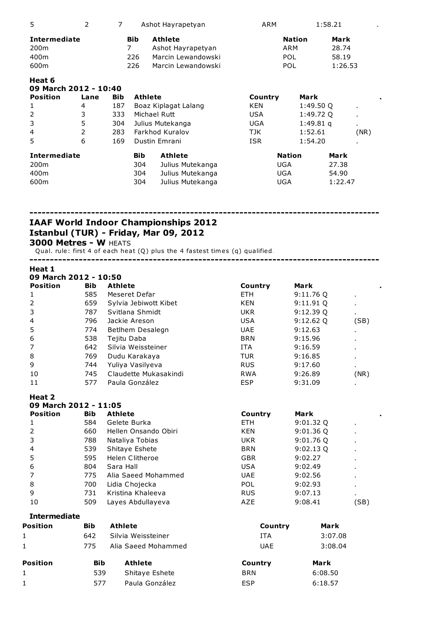| 5                                                       | 2    | 7          |                               | Ashot Hayrapetyan                                                               | ARM                             | 1:58.21       |                                   |
|---------------------------------------------------------|------|------------|-------------------------------|---------------------------------------------------------------------------------|---------------------------------|---------------|-----------------------------------|
| <b>Intermediate</b><br>200 <sub>m</sub><br>400m<br>600m |      |            | <b>Bib</b><br>7<br>226<br>226 | <b>Athlete</b><br>Ashot Hayrapetyan<br>Marcin Lewandowski<br>Marcin Lewandowski | ARM<br><b>POL</b><br><b>POL</b> | <b>Nation</b> | Mark<br>28.74<br>58.19<br>1:26.53 |
| Heat 6<br>09 March 2012 - 10:40                         |      |            |                               |                                                                                 |                                 |               |                                   |
| <b>Position</b>                                         | Lane | <b>Bib</b> | <b>Athlete</b>                |                                                                                 | Country                         | Mark          |                                   |
| 1                                                       | 4    | 187        |                               | Boaz Kiplagat Lalang                                                            | KEN                             | 1:49.50 Q     | $\blacksquare$                    |
| $\overline{2}$                                          | 3    | 333        |                               | Michael Rutt                                                                    | USA                             | 1:49.72 Q     | $\blacksquare$                    |
| 3                                                       | 5    | 304        |                               | Julius Mutekanga                                                                | UGA                             | $1:49.81$ q   | ٠                                 |
| 4                                                       | 2    | 283        |                               | Farkhod Kuralov                                                                 | TJK                             | 1:52.61       | (NR)                              |
| 5                                                       | 6    | 169        |                               | Dustin Emrani                                                                   | <b>ISR</b>                      | 1:54.20       |                                   |
| <b>Intermediate</b>                                     |      |            | <b>Bib</b>                    | <b>Athlete</b>                                                                  | <b>Nation</b>                   |               | Mark                              |
| 200 <sub>m</sub>                                        |      |            | 304                           | Julius Mutekanga                                                                | UGA                             |               | 27.38                             |
| 400m                                                    |      |            | 304                           | Julius Mutekanga                                                                | <b>UGA</b>                      |               | 54.90                             |
| 600m                                                    |      |            | 304                           | Julius Mutekanga                                                                | <b>UGA</b>                      |               | 1:22.47                           |

# IAAF World Indoor Championships 2012 Istanbul (TUR) - Friday, Mar 09, 2012

3000 Metres - W HEATS

Qual. rule: first 4 of each heat (Q) plus the 4 fastest times (q) qualified.

| Heat 1          | 09 March 2012 - 10:50 |                       |            |          |                |  |  |  |  |  |  |  |
|-----------------|-----------------------|-----------------------|------------|----------|----------------|--|--|--|--|--|--|--|
| <b>Position</b> | <b>Bib</b>            | <b>Athlete</b>        | Country    | Mark     |                |  |  |  |  |  |  |  |
| 1               | 585                   | Meseret Defar         | <b>ETH</b> | 9:11.76Q | $\blacksquare$ |  |  |  |  |  |  |  |
| 2               | 659                   | Sylvia Jebiwott Kibet | KEN        | 9:11.91Q | $\blacksquare$ |  |  |  |  |  |  |  |
| 3               | 787                   | Svitlana Shmidt       | <b>UKR</b> | 9:12.39Q | $\blacksquare$ |  |  |  |  |  |  |  |
| 4               | 796                   | Jackie Areson         | <b>USA</b> | 9:12.62Q | (SB)           |  |  |  |  |  |  |  |
| 5               | 774                   | Betlhem Desalegn      | <b>UAE</b> | 9:12.63  | ٠              |  |  |  |  |  |  |  |
| 6               | 538                   | Tejitu Daba           | <b>BRN</b> | 9:15.96  | ٠              |  |  |  |  |  |  |  |
| 7               | 642                   | Silvia Weissteiner    | <b>ITA</b> | 9:16.59  | ٠              |  |  |  |  |  |  |  |
| 8               | 769                   | Dudu Karakaya         | <b>TUR</b> | 9:16.85  | ٠.             |  |  |  |  |  |  |  |
| 9               | 744                   | Yuliya Vasilyeva      | <b>RUS</b> | 9:17.60  | $\blacksquare$ |  |  |  |  |  |  |  |
| 10              | 745                   | Claudette Mukasakindi | <b>RWA</b> | 9:26.89  | (NR)           |  |  |  |  |  |  |  |
| 11              | 577                   | Paula González        | <b>ESP</b> | 9:31.09  | ٠.             |  |  |  |  |  |  |  |

-------------------------------------------------------------------------------------

| 09 March 2012 - 11:05 |                      |            |             |                |  |  |  |  |  |  |
|-----------------------|----------------------|------------|-------------|----------------|--|--|--|--|--|--|
| <b>Bib</b>            | <b>Athlete</b>       | Country    | Mark        |                |  |  |  |  |  |  |
| 584                   | Gelete Burka         | <b>ETH</b> | $9:01.32$ Q |                |  |  |  |  |  |  |
| 660                   | Hellen Onsando Obiri | KEN        | $9:01.36$ Q |                |  |  |  |  |  |  |
| 788                   | Nataliya Tobias      | <b>UKR</b> | $9:01.76$ Q |                |  |  |  |  |  |  |
| 539                   | Shitaye Eshete       | <b>BRN</b> | $9:02.13$ Q |                |  |  |  |  |  |  |
| 595                   | Helen Clitheroe      | <b>GBR</b> | 9:02.27     |                |  |  |  |  |  |  |
| 804                   | Sara Hall            | <b>USA</b> | 9:02.49     |                |  |  |  |  |  |  |
| 775                   | Alia Saeed Mohammed  | <b>UAE</b> | 9:02.56     |                |  |  |  |  |  |  |
| 700                   | Lidia Chojecka       | <b>POL</b> | 9:02.93     |                |  |  |  |  |  |  |
| 731                   | Kristina Khaleeva    | <b>RUS</b> | 9:07.13     | $\blacksquare$ |  |  |  |  |  |  |
| 509                   | Layes Abdullayeva    | AZE        | 9:08.41     | (SB)           |  |  |  |  |  |  |
|                       |                      |            |             |                |  |  |  |  |  |  |

| <b>Intermediate</b> |
|---------------------|
|---------------------|

| <b>Position</b> | Bib        | <b>Athlete</b>      | Country               | Mark    |  |  |
|-----------------|------------|---------------------|-----------------------|---------|--|--|
| $\mathbf{1}$    | 642        | Silvia Weissteiner  | <b>ITA</b>            | 3:07.08 |  |  |
| $\mathbf{1}$    | 775        | Alia Saeed Mohammed | 3:08.04<br><b>UAE</b> |         |  |  |
| <b>Position</b> | <b>Bib</b> | <b>Athlete</b>      | Country               | Mark    |  |  |
| 1               | 539        | Shitaye Eshete      | <b>BRN</b>            | 6:08.50 |  |  |
| $\mathbf{1}$    | 577        | Paula González      | <b>ESP</b>            | 6:18.57 |  |  |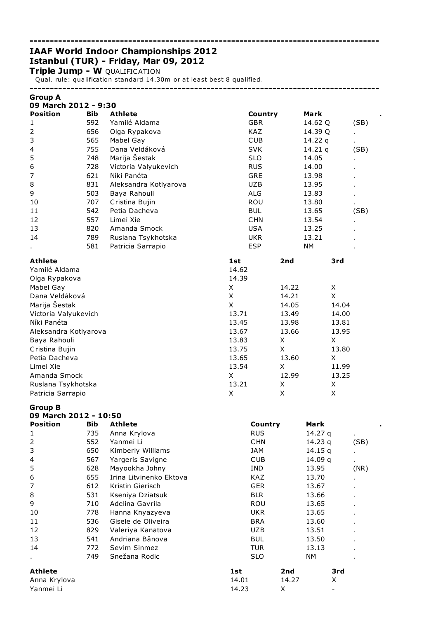# IAAF World Indoor Championships 2012 Istanbul (TUR) - Friday, Mar 09, 2012

Triple Jump - W QUALIFICATION

Qual. rule: qualification standard 14.30m or at least best 8 qualified.

## -------------------------------------------------------------------------------------

-------------------------------------------------------------------------------------

| <b>Group A</b>                          |            |                       |            |       |           |      |
|-----------------------------------------|------------|-----------------------|------------|-------|-----------|------|
| 09 March 2012 - 9:30<br><b>Position</b> | <b>Bib</b> | <b>Athlete</b>        | Country    |       | Mark      |      |
| 1                                       | 592        | Yamilé Aldama         | <b>GBR</b> |       | 14.62 Q   | (SB) |
| $\overline{2}$                          | 656        | Olga Rypakova         | <b>KAZ</b> |       | 14.39 Q   |      |
| 3                                       | 565        | Mabel Gay             | <b>CUB</b> |       | 14.22 $q$ |      |
| 4                                       | 755        | Dana Veldáková        | <b>SVK</b> |       | 14.21 $q$ | (SB) |
| 5                                       | 748        | Marija Šestak         | <b>SLO</b> |       | 14.05     |      |
| 6                                       | 728        | Victoria Valyukevich  | <b>RUS</b> |       | 14.00     |      |
| 7                                       | 621        | Níki Panéta           | GRE        |       | 13.98     |      |
| 8                                       | 831        | Aleksandra Kotlyarova | <b>UZB</b> |       | 13.95     |      |
| 9                                       | 503        | Baya Rahouli          | <b>ALG</b> |       | 13.83     |      |
| 10                                      | 707        | Cristina Bujin        | <b>ROU</b> |       | 13.80     |      |
| 11                                      | 542        | Petia Dacheva         | <b>BUL</b> |       | 13.65     | (SB) |
| 12                                      | 557        | Limei Xie             | <b>CHN</b> |       | 13.54     |      |
| 13                                      | 820        | Amanda Smock          | <b>USA</b> |       | 13.25     |      |
| 14                                      | 789        | Ruslana Tsykhotska    | <b>UKR</b> |       | 13.21     |      |
|                                         | 581        | Patricia Sarrapio     | <b>ESP</b> |       | <b>NM</b> |      |
| <b>Athlete</b>                          |            |                       | 1st        | 2nd   | 3rd       |      |
| Yamilé Aldama                           |            |                       | 14.62      |       |           |      |
| Olga Rypakova                           |            |                       | 14.39      |       |           |      |
| Mabel Gay                               |            |                       | X          | 14.22 | Χ         |      |
| Dana Veldáková                          |            |                       | X          | 14.21 | X         |      |
| Marija Šestak                           |            |                       | X          | 14.05 | 14.04     |      |
| Victoria Valyukevich                    |            |                       | 13.71      | 13.49 | 14.00     |      |
| Níki Panéta                             |            |                       | 13.45      | 13.98 | 13.81     |      |
| Aleksandra Kotlyarova                   |            |                       | 13.67      | 13.66 | 13.95     |      |
| Baya Rahouli                            |            |                       | 13.83      | X     | X         |      |
| Cristina Bujin                          |            |                       | 13.75      | X     | 13.80     |      |
| Petia Dacheva                           |            |                       | 13.65      | 13.60 | X         |      |
| Limei Xie                               |            |                       | 13.54      | X     | 11.99     |      |
| Amanda Smock                            |            |                       | X          | 12.99 | 13.25     |      |
| Ruslana Tsykhotska                      |            |                       | 13.21      | X     | X         |      |
| Patricia Sarrapio                       |            |                       | X          | Χ     | X         |      |

Group B

|  | 09 March 2012 - 10:50 |  |
|--|-----------------------|--|
|  |                       |  |

| <b>Position</b> | <b>Bib</b> | <b>Athlete</b>          | Country    | Mark      |                |
|-----------------|------------|-------------------------|------------|-----------|----------------|
| 1               | 735        | Anna Krylova            | <b>RUS</b> | 14.27 $q$ | $\blacksquare$ |
| $\overline{2}$  | 552        | Yanmei Li               | <b>CHN</b> | 14.23 $q$ | (SB)           |
| 3               | 650        | Kimberly Williams       | JAM        | 14.15 q   |                |
| 4               | 567        | Yargeris Savigne        | <b>CUB</b> | 14.09 $q$ | $\blacksquare$ |
| 5               | 628        | Mayookha Johny          | IND.       | 13.95     | (NR)           |
| 6               | 655        | Irina Litvinenko Ektova | KAZ.       | 13.70     | ٠.             |
| 7               | 612        | Kristin Gierisch        | <b>GER</b> | 13.67     | $\blacksquare$ |
| 8               | 531        | Kseniya Dziatsuk        | <b>BLR</b> | 13.66     | $\blacksquare$ |
| 9               | 710        | Adelina Gavrila         | ROU        | 13.65     |                |
| 10              | 778        | Hanna Knyazyeva         | UKR.       | 13.65     | ٠.             |
| 11              | 536        | Gisele de Oliveira      | <b>BRA</b> | 13.60     | ٠.             |
| 12              | 829        | Valeriya Kanatova       | UZB.       | 13.51     | ٠.             |
| 13              | 541        | Andriana Bânova         | <b>BUL</b> | 13.50     | $\cdot$        |
| 14              | 772        | Sevim Sinmez            | <b>TUR</b> | 13.13     | ٠.             |
| $\blacksquare$  | 749        | Snežana Rodic           | <b>SLO</b> | NM.       |                |
| <b>Athlete</b>  |            |                         | 1st        | 2nd       | 3rd            |
| Anna Krylova    |            |                         | 14.01      | 14.27     | X              |
| Yanmei Li       |            |                         | 14.23      | X         |                |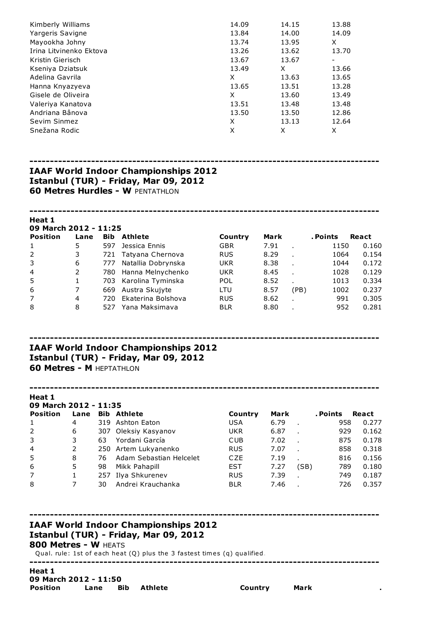| Kimberly Williams       | 14.09 | 14.15 | 13.88 |
|-------------------------|-------|-------|-------|
| Yargeris Savigne        | 13.84 | 14.00 | 14.09 |
| Mayookha Johny          | 13.74 | 13.95 | X     |
| Irina Litvinenko Ektova | 13.26 | 13.62 | 13.70 |
| Kristin Gierisch        | 13.67 | 13.67 | ۰     |
| Kseniya Dziatsuk        | 13.49 | X     | 13.66 |
| Adelina Gavrila         | X     | 13.63 | 13.65 |
| Hanna Knyazyeva         | 13.65 | 13.51 | 13.28 |
| Gisele de Oliveira      | X     | 13.60 | 13.49 |
| Valeriya Kanatova       | 13.51 | 13.48 | 13.48 |
| Andriana Bânova         | 13.50 | 13.50 | 12.86 |
| Sevim Sinmez            | X     | 13.13 | 12.64 |
| Snežana Rodic           | X     | X     | X     |
|                         |       |       |       |

## IAAF World Indoor Championships 2012 Istanbul (TUR) - Friday, Mar 09, 2012 **60 Metres Hurdles - W PENTATHLON**

#### Heat 1 ech 2012 - 11:25

| UY MAFCN ZUIZ - III:Z5 |      |            |                       |            |      |      |          |       |  |  |  |
|------------------------|------|------------|-----------------------|------------|------|------|----------|-------|--|--|--|
| <b>Position</b>        | Lane | <b>Bib</b> | <b>Athlete</b>        | Country    | Mark |      | . Points | React |  |  |  |
| 1                      | 5.   | 597        | Jessica Ennis         | <b>GBR</b> | 7.91 |      | 1150     | 0.160 |  |  |  |
| 2                      | 3.   |            | 721 Tatyana Chernova  | <b>RUS</b> | 8.29 |      | 1064     | 0.154 |  |  |  |
| 3                      | 6    | 777        | Natallia Dobrynska    | <b>UKR</b> | 8.38 |      | 1044     | 0.172 |  |  |  |
| $\overline{4}$         | 2    | 780        | Hanna Melnychenko     | <b>UKR</b> | 8.45 |      | 1028     | 0.129 |  |  |  |
| 5                      |      |            | 703 Karolina Tyminska | <b>POL</b> | 8.52 |      | 1013     | 0.334 |  |  |  |
| 6                      | 7    |            | 669 Austra Skujyte    | LTU        | 8.57 | (PB) | 1002     | 0.237 |  |  |  |
| $\overline{7}$         | 4    | 720.       | Ekaterina Bolshova    | <b>RUS</b> | 8.62 |      | 991      | 0.305 |  |  |  |
| 8                      | 8    | 527        | Yana Maksimava        | <b>BLR</b> | 8.80 |      | 952      | 0.281 |  |  |  |
|                        |      |            |                       |            |      |      |          |       |  |  |  |

# ------------------------------------------------------------------------------------- IAAF World Indoor Championships 2012 Istanbul (TUR) - Friday, Mar 09, 2012

**60 Metres - M HEPTATHLON** 

#### Heat 1

| 09 March 2012 - 11:35 |      |     |                         |            |      |      |          |       |  |
|-----------------------|------|-----|-------------------------|------------|------|------|----------|-------|--|
| <b>Position</b>       | Lane |     | <b>Bib Athlete</b>      | Country    | Mark |      | . Points | React |  |
| 1                     | 4    |     | 319 Ashton Eaton        | <b>USA</b> | 6.79 |      | 958      | 0.277 |  |
| 2                     | 6    |     | 307 Oleksiy Kasyanov    | <b>UKR</b> | 6.87 |      | 929      | 0.162 |  |
| 3                     | 3    | 63  | Yordani García          | <b>CUB</b> | 7.02 |      | 875      | 0.178 |  |
| $\overline{4}$        |      |     | 250 Artem Lukyanenko    | <b>RUS</b> | 7.07 |      | 858      | 0.318 |  |
| 5                     | 8    | 76  | Adam Sebastian Helcelet | CZE        | 7.19 |      | 816      | 0.156 |  |
| 6                     | 5    | 98  | Mikk Pahapill           | <b>EST</b> | 7.27 | (SB) | 789      | 0.180 |  |
| 7                     |      | 257 | Ilya Shkurenev          | <b>RUS</b> | 7.39 |      | 749      | 0.187 |  |
| 8                     |      | 30  | Andrei Krauchanka       | <b>BLR</b> | 7.46 |      | 726      | 0.357 |  |

-------------------------------------------------------------------------------------

# IAAF World Indoor Championships 2012 Istanbul (TUR) - Friday, Mar 09, 2012

## 800 Metres - W HEATS

Qual. rule: 1st of each heat (Q) plus the 3 fastest times (q) qualified.

### Heat 1 09 March 2012 - 11:50 Position Lane Bib Athlete **Country** Mark

-------------------------------------------------------------------------------------

-------------------------------------------------------------------------------------

-------------------------------------------------------------------------------------

-------------------------------------------------------------------------------------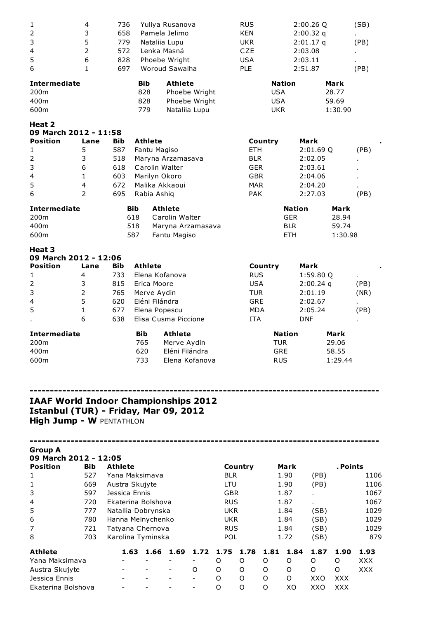| $\mathbf{1}$                                                                               | 4              | 736                |                | Yuliya Rusanova                 |                          |            | <b>RUS</b> |            |                          | 2:00.26 Q   |                  | (SB)       |
|--------------------------------------------------------------------------------------------|----------------|--------------------|----------------|---------------------------------|--------------------------|------------|------------|------------|--------------------------|-------------|------------------|------------|
| 2                                                                                          | 3              | 658                |                | Pamela Jelimo                   |                          |            | <b>KEN</b> |            |                          | $2:00.32$ q |                  |            |
| 3                                                                                          | 5              | 779                |                | Nataliia Lupu                   |                          |            | <b>UKR</b> |            |                          | 2:01.17q    |                  | (PB)       |
| 4                                                                                          | $\overline{2}$ | 572                |                | Lenka Masná                     |                          |            | CZE        |            |                          | 2:03.08     |                  |            |
| 5                                                                                          | 6              | 828                |                | Phoebe Wright<br>Woroud Sawalha |                          |            | <b>USA</b> |            |                          | 2:03.11     |                  |            |
| 6                                                                                          | $\mathbf{1}$   | 697                |                |                                 |                          |            | PLE        |            |                          | 2:51.87     |                  | (PB)       |
| <b>Intermediate</b>                                                                        |                |                    | <b>Bib</b>     | <b>Athlete</b>                  |                          |            |            |            | <b>Nation</b>            |             | Mark             |            |
| 200m                                                                                       |                |                    | 828            |                                 | Phoebe Wright            |            |            | <b>USA</b> |                          |             | 28.77            |            |
| 400m                                                                                       |                |                    | 828            |                                 | Phoebe Wright            |            |            | <b>USA</b> |                          |             | 59.69            |            |
| 600m                                                                                       |                |                    | 779            |                                 | Nataliia Lupu            |            |            | <b>UKR</b> |                          |             | 1:30.90          |            |
| <b>Heat 2</b>                                                                              |                |                    |                |                                 |                          |            |            |            |                          |             |                  |            |
| 09 March 2012 - 11:58                                                                      |                |                    |                |                                 |                          |            |            |            |                          |             |                  |            |
| <b>Position</b>                                                                            | Lane           | <b>Bib</b>         | <b>Athlete</b> |                                 |                          |            |            | Country    |                          | Mark        |                  |            |
| 1                                                                                          | 5              | 587                | Fantu Magiso   |                                 |                          |            | <b>ETH</b> |            |                          | 2:01.69 Q   |                  | (PB)       |
| 2                                                                                          | 3              | 518                |                | Maryna Arzamasava               |                          |            | <b>BLR</b> |            |                          | 2:02.05     |                  |            |
| 3                                                                                          | 6              | 618                |                | Carolin Walter                  |                          |            | <b>GER</b> |            |                          | 2:03.61     |                  |            |
| 4                                                                                          | $\mathbf{1}$   | 603                | Marilyn Okoro  |                                 |                          |            | <b>GBR</b> |            |                          | 2:04.06     |                  |            |
| 5                                                                                          | $\overline{4}$ | 672                |                | Malika Akkaoui                  |                          |            | <b>MAR</b> |            |                          | 2:04.20     |                  |            |
| 6                                                                                          | $\overline{2}$ | 695                | Rabia Ashiq    |                                 |                          |            | <b>PAK</b> |            |                          | 2:27.03     |                  | (PB)       |
|                                                                                            |                |                    |                |                                 |                          |            |            |            |                          |             |                  |            |
| <b>Intermediate</b>                                                                        |                | <b>Bib</b>         |                | <b>Athlete</b>                  |                          |            |            |            | <b>Nation</b>            |             | Mark             |            |
| 200m                                                                                       |                | 618<br>518         |                | Carolin Walter                  |                          |            |            |            | <b>GER</b>               |             | 28.94            |            |
| 400m<br>600m                                                                               |                | 587                |                | Maryna Arzamasava               |                          |            |            |            | <b>BLR</b><br><b>ETH</b> |             | 59.74<br>1:30.98 |            |
|                                                                                            |                |                    |                | Fantu Magiso                    |                          |            |            |            |                          |             |                  |            |
| Heat 3                                                                                     |                |                    |                |                                 |                          |            |            |            |                          |             |                  |            |
| 09 March 2012 - 12:06                                                                      |                |                    |                |                                 |                          |            |            |            |                          |             |                  |            |
| <b>Position</b>                                                                            | Lane           | Bib                | <b>Athlete</b> |                                 |                          |            |            | Country    |                          | Mark        |                  |            |
| 1                                                                                          | 4              | 733                |                | Elena Kofanova                  |                          |            | <b>RUS</b> |            |                          | 1:59.80 Q   |                  |            |
| 2                                                                                          | 3              | 815                | Erica Moore    |                                 |                          |            | <b>USA</b> |            |                          | $2:00.24$ q |                  | (PB)       |
| 3                                                                                          | $\overline{2}$ | 765                | Merve Aydin    |                                 |                          |            | <b>TUR</b> |            |                          | 2:01.19     |                  | (NR)       |
| 4                                                                                          | 5              | 620                | Eléni Filándra |                                 |                          |            | <b>GRE</b> |            |                          | 2:02.67     |                  |            |
| 5                                                                                          | 1              | 677                |                | Elena Popescu                   |                          |            | <b>MDA</b> |            |                          | 2:05.24     |                  | (PB)       |
|                                                                                            | 6              | 638                |                | Elisa Cusma Piccione            |                          |            | <b>ITA</b> |            |                          | <b>DNF</b>  |                  |            |
| <b>Intermediate</b>                                                                        |                |                    | <b>Bib</b>     | <b>Athlete</b>                  |                          |            |            |            | <b>Nation</b>            |             | Mark             |            |
| 200m                                                                                       |                |                    | 765            | Merve Aydin                     |                          |            |            | <b>TUR</b> |                          |             | 29.06            |            |
| 400m                                                                                       |                |                    | 620            | Eléni Filándra                  |                          |            |            | <b>GRE</b> |                          |             | 58.55            |            |
| 600m                                                                                       |                |                    | 733            | Elena Kofanova                  |                          |            |            | <b>RUS</b> |                          |             | 1:29.44          |            |
| IAAF World Indoor Championships 2012                                                       |                |                    |                |                                 |                          |            |            |            |                          |             |                  |            |
| Istanbul (TUR) - Friday, Mar 09, 2012<br><b>High Jump - W PENTATHLON</b><br><b>Group A</b> |                |                    |                |                                 |                          |            |            |            |                          |             |                  |            |
| 09 March 2012 - 12:05                                                                      |                |                    |                |                                 |                          |            |            |            |                          |             |                  |            |
| <b>Position</b>                                                                            | <b>Bib</b>     | <b>Athlete</b>     |                |                                 |                          |            | Country    |            | Mark                     |             | . Points         |            |
| 1                                                                                          | 527            | Yana Maksimava     |                |                                 |                          | <b>BLR</b> |            |            | 1.90                     | (PB)        |                  | 1106       |
| $\mathbf 1$                                                                                | 669            | Austra Skujyte     |                |                                 |                          | LTU        |            |            | 1.90                     | (PB)        |                  | 1106       |
| 3                                                                                          | 597            | Jessica Ennis      |                |                                 |                          | <b>GBR</b> |            |            | 1.87                     |             |                  | 1067       |
| 4                                                                                          | 720            | Ekaterina Bolshova |                |                                 |                          | <b>RUS</b> |            |            | 1.87                     |             |                  | 1067       |
| 5                                                                                          | 777            | Natallia Dobrynska |                |                                 |                          | <b>UKR</b> |            |            | 1.84                     | (SB)        |                  | 1029       |
| 6                                                                                          | 780            | Hanna Melnychenko  |                |                                 |                          | <b>UKR</b> |            |            | 1.84                     | (SB)        |                  | 1029       |
| 7                                                                                          | 721            | Tatyana Chernova   |                |                                 |                          | <b>RUS</b> |            |            | 1.84                     | (SB)        |                  | 1029       |
| 8                                                                                          | 703            | Karolina Tyminska  |                |                                 |                          | POL        |            |            | 1.72                     | (SB)        |                  | 879        |
| <b>Athlete</b>                                                                             |                | 1.63               | 1.66           | 1.69                            | 1.72                     | 1.75       | 1.78       | 1.81       | 1.84                     | 1.87        | 1.90             | 1.93       |
| Yana Maksimava                                                                             |                |                    |                |                                 |                          | O          | O          | O          | O                        | O           | O                | <b>XXX</b> |
| Austra Skujyte                                                                             |                |                    |                |                                 | 0                        | O          | O          | O          | O                        | O           | O                | <b>XXX</b> |
| Jessica Ennis                                                                              |                |                    |                |                                 | $\overline{\phantom{a}}$ | 0          | O          | O          | O                        | XXO         | XXX              |            |
| Ekaterina Bolshova                                                                         |                |                    |                |                                 |                          | O          | O          | O          | XO                       | XXO         | <b>XXX</b>       |            |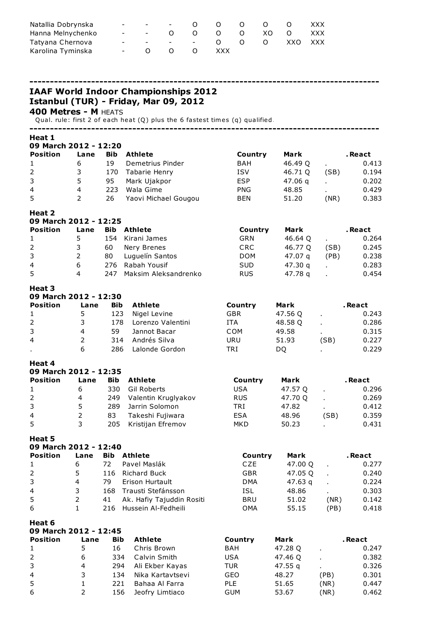| Natallia Dobrynska | the contract of the con- | $ -$ 0    | $\begin{matrix} 0 & 0 & 0 \end{matrix}$ |                  | . O     | <b>XXX</b> |
|--------------------|--------------------------|-----------|-----------------------------------------|------------------|---------|------------|
| Hanna Melnychenko  |                          |           |                                         | - - 0 0 0 0 x0 0 |         | XXX        |
| Tatyana Chernova   |                          |           | - - - - - 0 0 0                         |                  | XXO XXX |            |
| Karolina Tyminska  |                          | $-$ 0 0 0 | XXX X                                   |                  |         |            |

------------------------------------------------------------------------------------- IAAF World Indoor Championships 2012 Istanbul (TUR) - Friday, Mar 09, 2012 Metres - M HEATS Qual. rule: first 2 of each heat (Q) plus the 6 fastest times (q) qualified. ------------------------------------------------------------------------------------- Heat 1 March 2012 - 12:20 Position Lane Bib Athlete **Country Mark** . React 6 19 Demetrius Pinder BAH 46.49 Q . 0.413 3 170 Tabarie Henry ISV 46.71 Q (SB) 0.194 5 95 Mark Ujakpor ESP 47.06 q . 0.202 4 223 Wala Gime PNG 48.85 . 0.429 2 26 Yaovi Michael Gougou BEN 51.20 (NR) 0.383 Heat 2 March 2012 - 12:25 Position Lane Bib Athlete **Country Mark** . React 5 154 Kirani James GRN 46.64 Q . 0.264 3 60 Nery Brenes CRC 46.77 Q (SB) 0.245 2 80 Luguelín Santos DOM 47.07 q (PB) 0.238 6 276 Rabah Yousif SUD 47.30 q . 0.283 4 247 Maksim Aleksandrenko RUS 47.78 q . 0.454 Heat 3 March 2012 - 12:30 Position Lane Bib Athlete **Country Mark** . React 5 123 Nigel Levine GBR 47.56 Q . 0.243 3 178 Lorenzo Valentini ITA 48.58 Q . 0.286 4 59 Jannot Bacar COM 49.58 . 0.315 2 314 Andrés Silva URU 51.93 (SB) 0.227 . 6 286 Lalonde Gordon TRI DQ . 0.229 Heat 4 March 2012 - 12:35 Position Lane Bib Athlete **Country Mark** . React 6 330 Gil Roberts USA 47.57 Q . 0.296 4 249 Valentin Kruglyakov RUS 47.70 Q . 0.269 5 289 Jarrin Solomon TRI 47.82 . 0.412 2 83 Takeshi Fujiwara ESA 48.96 (SB) 0.359 3 205 Kristijan Efremov MKD 50.23 . 0.431 Heat 5 March 2012 - 12:40 Position Lane Bib Athlete **Country Mark** . React 6 72 Pavel Maslák CZE 47.00 Q . 0.277 5 116 Richard Buck GBR 47.05 Q . 0.240 4 79 Erison Hurtault DMA 47.63 q . 0.224 3 168 Trausti Stefánsson ISL 48.86 . 0.303 2 41 Ak. Hafiy Tajuddin Rositi BRU 51.02 (NR) 0.142 1 216 Hussein Al-Fedheili OMA 55.15 (PB) 0.418 Heat 6 March 2012 - 12:45 Position Lane Bib Athlete . Country Mark . React

| F VƏILIVII   |   |     | <b>AUDELE</b>    | <b>COMILLY</b> | ran     |      | . Incarr |  |
|--------------|---|-----|------------------|----------------|---------|------|----------|--|
| $\mathbf{1}$ |   | 16  | Chris Brown      | BAH            | 47.28 Q |      | 0.247    |  |
| 2            | 6 | 334 | Calvin Smith     | <b>USA</b>     | 47.46 Q |      | 0.382    |  |
| 3            | 4 | 294 | Ali Ekber Kayas  | TUR            | 47.55 g |      | 0.326    |  |
| 4            | 3 | 134 | Nika Kartavtsevi | GEO            | 48.27   | (PB) | 0.301    |  |
| 5            |   | 221 | Bahaa Al Farra   | <b>PLE</b>     | 51.65   | (NR) | 0.447    |  |
| 6            |   | 156 | Jeofry Limtiaco  | <b>GUM</b>     | 53.67   | (NR) | 0.462    |  |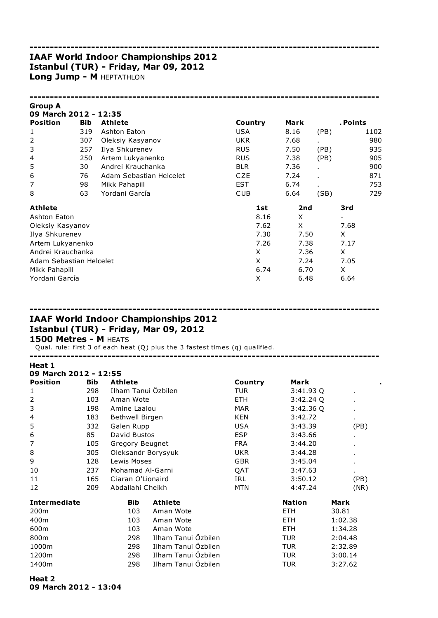## IAAF World Indoor Championships 2012 Istanbul (TUR) - Friday, Mar 09, 2012 Long Jump - M HEPTATHLON

| <b>Group A</b><br>09 March 2012 - 12:35 |            |                         |            |      |                |          |      |
|-----------------------------------------|------------|-------------------------|------------|------|----------------|----------|------|
| <b>Position</b>                         | <b>Bib</b> | <b>Athlete</b>          | Country    | Mark |                | . Points |      |
| 1                                       | 319        | Ashton Eaton            | <b>USA</b> | 8.16 | (PB)           |          | 1102 |
| $\overline{2}$                          | 307        | Oleksiy Kasyanov        | <b>UKR</b> | 7.68 |                |          | 980  |
| 3                                       | 257        | Ilya Shkurenev          | <b>RUS</b> | 7.50 | (PB)           |          | 935  |
| 4                                       | 250        | Artem Lukyanenko        | <b>RUS</b> | 7.38 | (PB)           |          | 905  |
| 5                                       | 30         | Andrei Krauchanka       | <b>BLR</b> | 7.36 |                |          | 900  |
| 6                                       | 76         | Adam Sebastian Helcelet | CZE        | 7.24 | $\blacksquare$ |          | 871  |
| 7                                       | 98         | Mikk Pahapill           | EST        | 6.74 |                |          | 753  |
| 8                                       | 63         | Yordani García          | CUB        | 6.64 | (SB)           |          | 729  |
| <b>Athlete</b>                          |            |                         | 1st        | 2nd  |                | 3rd      |      |
| Ashton Eaton                            |            |                         | 8.16       | X    |                |          |      |
| Oleksiy Kasyanov                        |            |                         | 7.62       | X    |                | 7.68     |      |
| Ilya Shkurenev                          |            |                         | 7.30       | 7.50 |                | X        |      |
| Artem Lukyanenko                        |            |                         | 7.26       | 7.38 |                | 7.17     |      |
| Andrei Krauchanka                       |            |                         | X          | 7.36 |                | X        |      |
| Adam Sebastian Helcelet                 |            |                         | X          | 7.24 |                | 7.05     |      |
| Mikk Pahapill                           |            |                         | 6.74       | 6.70 |                | X        |      |
| Yordani García                          |            |                         | X          | 6.48 |                | 6.64     |      |

-------------------------------------------------------------------------------------

-------------------------------------------------------------------------------------

# IAAF World Indoor Championships 2012 Istanbul (TUR) - Friday, Mar 09, 2012

### 1500 Metres - M HEATS

Qual. rule: first 3 of each heat (Q) plus the 3 fastest times (q) qualified.

| Heat 1<br>09 March 2012 - 12:55 |            |                     |                     |            |               |                |
|---------------------------------|------------|---------------------|---------------------|------------|---------------|----------------|
| <b>Position</b>                 | <b>Bib</b> | Athlete             |                     | Country    | Mark          |                |
| 1                               | 298        | Ilham Tanui Özbilen |                     | TUR        | 3:41.93 Q     | $\blacksquare$ |
| $\overline{2}$                  | 103        | Aman Wote           |                     | ETH.       | 3:42.24Q      |                |
| 3                               | 198        | Amine Laalou        |                     | <b>MAR</b> | 3:42.36Q      |                |
| 4                               | 183        | Bethwell Birgen     |                     | <b>KEN</b> | 3:42.72       |                |
| 5                               | 332        | Galen Rupp          |                     | <b>USA</b> | 3:43.39       | (PB)           |
| 6                               | 85         | David Bustos        |                     | <b>ESP</b> | 3:43.66       |                |
| 7                               | 105        | Gregory Beugnet     |                     | <b>FRA</b> | 3:44.20       |                |
| 8                               | 305        | Oleksandr Borysyuk  |                     | <b>UKR</b> | 3:44.28       |                |
| 9                               | 128        | Lewis Moses         |                     | <b>GBR</b> | 3:45.04       |                |
| 10                              | 237        | Mohamad Al-Garni    |                     | QAT        | 3:47.63       | ٠.             |
| 11                              | 165        | Ciaran O'Lionaird   |                     | IRL        | 3:50.12       | (PB)           |
| 12                              | 209        | Abdallahi Cheikh    |                     | <b>MTN</b> | 4:47.24       | (NR)           |
| <b>Intermediate</b>             |            | <b>Bib</b>          | <b>Athlete</b>      |            | <b>Nation</b> | Mark           |
| 200 <sub>m</sub>                |            | 103                 | Aman Wote           |            | <b>ETH</b>    | 30.81          |
| 400m                            |            | 103                 | Aman Wote           |            | <b>ETH</b>    | 1:02.38        |
| 600m                            |            | 103                 | Aman Wote           |            | <b>ETH</b>    | 1:34.28        |
| 800m                            |            | 298                 | Ilham Tanui Özbilen |            | <b>TUR</b>    | 2:04.48        |
| 1000m                           |            | 298                 | Ilham Tanui Özbilen |            | <b>TUR</b>    | 2:32.89        |
| 1200m                           |            | 298                 | Ilham Tanui Özbilen |            | <b>TUR</b>    | 3:00.14        |
| 1400m                           |            | 298                 | Ilham Tanui Özbilen |            | <b>TUR</b>    | 3:27.62        |

-------------------------------------------------------------------------------------

#### Heat 2 09 March 2012 - 13:04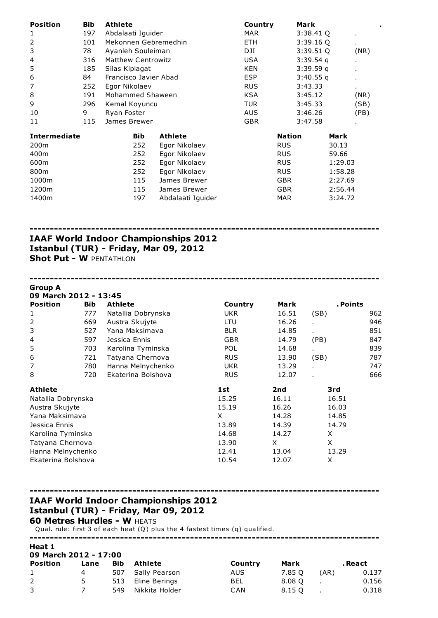| <b>Position</b>     | <b>Bib</b> | Athlete                   |                   | Country    |               | Mark        |         |                |
|---------------------|------------|---------------------------|-------------------|------------|---------------|-------------|---------|----------------|
| 1                   | 197        | Abdalaati Iguider         |                   | MAR.       |               | 3:38.41Q    |         | $\blacksquare$ |
| 2                   | 101        | Mekonnen Gebremedhin      |                   | ETH.       |               | $3:39.16$ Q |         | $\blacksquare$ |
| 3                   | 78         | Ayanleh Souleiman         |                   | DJI        |               | $3:39.51$ Q |         | (NR)           |
| 4                   | 316        | <b>Matthew Centrowitz</b> |                   | <b>USA</b> |               | $3:39.54$ q |         | $\blacksquare$ |
| 5                   | 185        | Silas Kiplagat            |                   | KEN        |               | $3:39.59$ q |         | $\blacksquare$ |
| 6                   | 84         | Francisco Javier Abad     |                   | <b>ESP</b> |               | 3:40.55q    |         | $\blacksquare$ |
| 7                   | 252        | Egor Nikolaev             |                   | <b>RUS</b> |               | 3:43.33     |         | ×.             |
| 8                   | 191        | Mohammed Shaween          |                   | KSA        |               | 3:45.12     |         | (NR)           |
| 9                   | 296        | Kemal Koyuncu             |                   | TUR        |               | 3:45.33     |         | (SB)           |
| 10                  | 9          | Ryan Foster               |                   | <b>AUS</b> |               | 3:46.26     |         | (PB)           |
| 11                  | 115        | James Brewer              |                   | <b>GBR</b> |               | 3:47.58     |         |                |
| <b>Intermediate</b> |            | <b>Bib</b>                | <b>Athlete</b>    |            | <b>Nation</b> |             | Mark    |                |
| 200 <sub>m</sub>    |            | 252                       | Egor Nikolaev     |            | <b>RUS</b>    |             | 30.13   |                |
| 400m                |            | 252                       | Egor Nikolaev     |            | <b>RUS</b>    |             | 59.66   |                |
| 600m                |            | 252                       | Egor Nikolaev     |            | <b>RUS</b>    |             | 1:29.03 |                |
| 800m                |            | 252                       | Egor Nikolaev     |            | <b>RUS</b>    |             | 1:58.28 |                |
| 1000m               |            | 115                       | James Brewer      |            | <b>GBR</b>    |             | 2:27.69 |                |
| 1200m               |            | 115                       | James Brewer      |            | GBR.          |             | 2:56.44 |                |
| 1400m               |            | 197                       | Abdalaati Iguider |            | <b>MAR</b>    |             | 3:24.72 |                |

-------------------------------------------------------------------------------------

-------------------------------------------------------------------------------------

## IAAF World Indoor Championships 2012 Istanbul (TUR) - Friday, Mar 09, 2012 Shot Put - W PENTATHLON

| <b>Group A</b>        |            |                    |            |       |                |     |
|-----------------------|------------|--------------------|------------|-------|----------------|-----|
| 09 March 2012 - 13:45 |            |                    |            |       |                |     |
| <b>Position</b>       | <b>Bib</b> | <b>Athlete</b>     | Country    | Mark  | . Points       |     |
| 1                     | 777        | Natallia Dobrynska | UKR.       | 16.51 | (SB)           | 962 |
| 2                     | 669        | Austra Skujyte     | LTU        | 16.26 | $\blacksquare$ | 946 |
| 3                     | 527        | Yana Maksimava     | <b>BLR</b> | 14.85 | $\blacksquare$ | 851 |
| 4                     | 597        | Jessica Ennis      | <b>GBR</b> | 14.79 | (PB)           | 847 |
| 5                     | 703        | Karolina Tyminska  | <b>POL</b> | 14.68 |                | 839 |
| 6                     | 721        | Tatyana Chernova   | <b>RUS</b> | 13.90 | (SB)           | 787 |
| 7                     | 780        | Hanna Melnychenko  | <b>UKR</b> | 13.29 | $\blacksquare$ | 747 |
| 8                     | 720        | Ekaterina Bolshova | <b>RUS</b> | 12.07 |                | 666 |
| Athlete               |            |                    | 1st        | 2nd   | 3rd            |     |
| Natallia Dobrynska    |            |                    | 15.25      | 16.11 | 16.51          |     |
| Austra Skujyte        |            |                    | 15.19      | 16.26 | 16.03          |     |
| Yana Maksimava        |            |                    | X          | 14.28 | 14.85          |     |
| Jessica Ennis         |            |                    | 13.89      | 14.39 | 14.79          |     |
| Karolina Tyminska     |            |                    | 14.68      | 14.27 | X              |     |
| Tatyana Chernova      |            |                    | 13.90      | X     | X              |     |
| Hanna Melnychenko     |            |                    | 12.41      | 13.04 | 13.29          |     |
| Ekaterina Bolshova    |            |                    | 10.54      | 12.07 | X              |     |

## IAAF World Indoor Championships 2012 Istanbul (TUR) - Friday, Mar 09, 2012

**60 Metres Hurdles - W HEATS** 

Qual. rule: first 3 of each heat (Q) plus the 4 fastest times (q) qualified.

-------------------------------------------------------------------------------------

| 09 March 2012 - 17:00 |      |     |                |         |        |      |         |  |  |  |  |
|-----------------------|------|-----|----------------|---------|--------|------|---------|--|--|--|--|
| Position              | Lane | Bib | Athlete        | Country | Mark   |      | . React |  |  |  |  |
| $\mathbf{1}$          | 4    | 507 | Sally Pearson  | AUS     | 7.85 O | (AR) | 0.137   |  |  |  |  |
| 2                     | 5.   | 513 | Eline Berings  | BEL     | 8.08 O |      | 0.156   |  |  |  |  |
| 3                     |      | 549 | Nikkita Holder | CAN     | 8.15 O |      | 0.318   |  |  |  |  |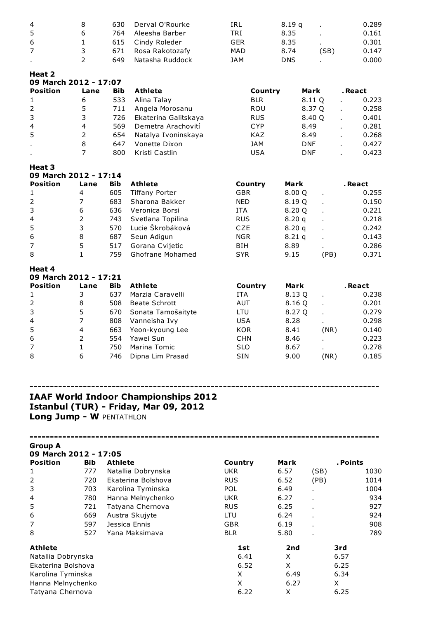|   | 630 | Derval O'Rourke | IRL               | 8.19 a     | $\mathbf{r}$ | 0.289 |
|---|-----|-----------------|-------------------|------------|--------------|-------|
| ь | 764 | Aleesha Barber  | TRI               | 8.35       |              | 0.161 |
|   |     |                 | GER               | 8.35       |              | 0.301 |
|   | 671 | Rosa Rakotozafy | <b>MAD</b>        | 8.74       | (SB)         | 0.147 |
|   | 649 | Natasha Ruddock | JAM               | <b>DNS</b> |              | 0.000 |
|   |     |                 | 615 Cindy Roleder |            |              |       |

### Heat 2

| 09 March 2012 - 17:07 |      |            |                      |            |            |         |
|-----------------------|------|------------|----------------------|------------|------------|---------|
| <b>Position</b>       | Lane | <b>Bib</b> | <b>Athlete</b>       | Country    | Mark       | . React |
| $\mathbf{1}$          | 6    | 533        | Alina Talay          | <b>BLR</b> | 8.11 O     | 0.223   |
| 2                     | 5    | 711        | Angela Morosanu      | <b>ROU</b> | 8.37 Q     | 0.258   |
| 3                     | 3    | 726        | Ekaterina Galitskaya | <b>RUS</b> | 8.40 Q     | 0.401   |
| $\overline{4}$        | 4    | 569        | Demetra Arachovití   | <b>CYP</b> | 8.49       | 0.281   |
| 5                     | 2    | 654        | Natalya Ivoninskaya  | KAZ        | 8.49       | 0.268   |
| $\mathbf{r}$          | 8    | 647        | Vonette Dixon        | <b>JAM</b> | <b>DNF</b> | 0.427   |
|                       |      | 800        | Kristi Castlin       | USA        | <b>DNF</b> | 0.423   |

#### Heat 3 March 2012 - 17:14

| <b>Position</b> | Lane | <b>Bib</b> | <b>Athlete</b>        | Country    | Mark     |      | . React |
|-----------------|------|------------|-----------------------|------------|----------|------|---------|
| 1               | 4    | 605        | <b>Tiffany Porter</b> | <b>GBR</b> | 8.00 Q   |      | 0.255   |
| <sup>2</sup>    |      | 683        | Sharona Bakker        | <b>NED</b> | 8.19 Q   |      | 0.150   |
| 3               | 6    | 636        | Veronica Borsi        | <b>ITA</b> | 8.20 Q   |      | 0.221   |
| $\overline{4}$  |      | 743        | Svetlana Topilina     | <b>RUS</b> | 8.20q    |      | 0.218   |
| 5               | 3    | 570        | Lucie Škrobáková      | <b>CZE</b> | 8.20q    |      | 0.242   |
| 6               | 8    | 687        | Seun Adigun           | <b>NGR</b> | $8.21$ q |      | 0.143   |
| $\overline{7}$  | 5    | 517        | Gorana Cvijetic       | <b>BIH</b> | 8.89     |      | 0.286   |
| 8               |      | 759        | Ghofrane Mohamed      | <b>SYR</b> | 9.15     | (PB) | 0.371   |

#### Heat 4

| 09 March 2012 - 17:21<br><b>Position</b> |            |                    |            |        |      |         |  |  |  |
|------------------------------------------|------------|--------------------|------------|--------|------|---------|--|--|--|
| Lane                                     | <b>Bib</b> | Athlete            | Country    | Mark   |      | . React |  |  |  |
| 3                                        | 637        | Marzia Caravelli   | <b>ITA</b> | 8.13 Q |      | 0.238   |  |  |  |
| 8                                        | 508        | Beate Schrott      | AUT        | 8.16 Q |      | 0.201   |  |  |  |
| 5.                                       | 670        | Sonata Tamošaityte | LTU        | 8.27 Q |      | 0.279   |  |  |  |
|                                          | 808        | Vanneisha Ivy      | <b>USA</b> | 8.28   |      | 0.298   |  |  |  |
| 4                                        | 663        | Yeon-kyoung Lee    | <b>KOR</b> | 8.41   | (NR) | 0.140   |  |  |  |
|                                          | 554        | Yawei Sun          | <b>CHN</b> | 8.46   |      | 0.223   |  |  |  |
|                                          | 750        | Marina Tomic       | <b>SLO</b> | 8.67   |      | 0.278   |  |  |  |
| 6                                        | 746        | Dipna Lim Prasad   | <b>SIN</b> | 9.00   | (NR) | 0.185   |  |  |  |
|                                          |            |                    |            |        |      |         |  |  |  |

## ------------------------------------------------------------------------------------- IAAF World Indoor Championships 2012 Istanbul (TUR) - Friday, Mar 09, 2012 Long Jump - W PENTATHLON

-------------------------------------------------------------------------------------

Group A

| <b>Bib</b>         | <b>Athlete</b>     | Country               | Mark |      | . Points |      |
|--------------------|--------------------|-----------------------|------|------|----------|------|
| 777                | Natallia Dobrynska | <b>UKR</b>            | 6.57 | (SB) |          | 1030 |
| 720                | Ekaterina Bolshova | <b>RUS</b>            | 6.52 | (PB) |          | 1014 |
| 703                | Karolina Tyminska  | POL                   | 6.49 |      |          | 1004 |
| 780                | Hanna Melnychenko  | <b>UKR</b>            | 6.27 |      |          | 934  |
| 721                | Tatyana Chernova   | <b>RUS</b>            | 6.25 |      |          | 927  |
| 669                | Austra Skujyte     | LTU                   | 6.24 |      |          | 924  |
| 597                | Jessica Ennis      | <b>GBR</b>            | 6.19 |      |          | 908  |
| 527                | Yana Maksimava     | <b>BLR</b>            | 5.80 |      |          | 789  |
|                    |                    | 1st                   | 2nd  |      | 3rd      |      |
| Natallia Dobrynska |                    | 6.41                  | X    |      | 6.57     |      |
| Ekaterina Bolshova |                    | 6.52                  | X    |      | 6.25     |      |
| Karolina Tyminska  |                    | X                     | 6.49 |      | 6.34     |      |
| Hanna Melnychenko  |                    | X                     | 6.27 |      | X        |      |
| Tatyana Chernova   |                    | 6.22                  | X    |      | 6.25     |      |
|                    |                    | 09 March 2012 - 17:05 |      |      |          |      |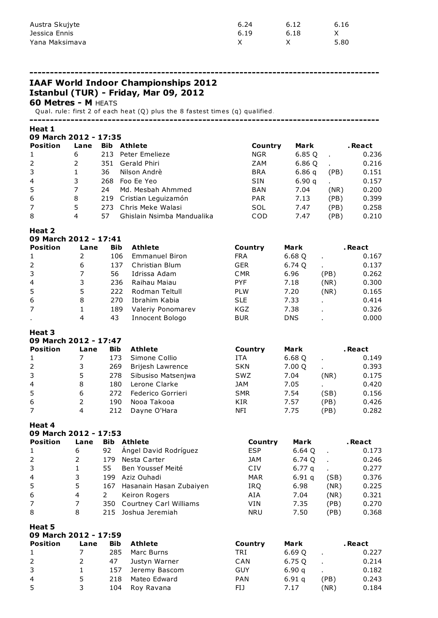| Austra Skujyte | 6.24 | 6.12 | 6.16 |
|----------------|------|------|------|
| Jessica Ennis  | 6.19 | 6.18 |      |
| Yana Maksimava |      |      | 5.80 |

IAAF World Indoor Championships 2012 Istanbul (TUR) - Friday, Mar 09, 2012

## Metres - M HEATS

Qual. rule: first 2 of each heat (Q) plus the 8 fastest times (q) qualified.

-------------------------------------------------------------------------------------

#### Heat 1

March 2012 - 17:35

| <b>Position</b> | Lane | <b>Bib</b> | Athlete                    | Country    | Mark   |      | . React |
|-----------------|------|------------|----------------------------|------------|--------|------|---------|
| $\mathbf{1}$    | 6    | 213        | Peter Emelieze             | <b>NGR</b> | 6.85 Q |      | 0.236   |
| 2               |      | 351        | Gerald Phiri               | ZAM        | 6.86 Q |      | 0.216   |
| 3               |      | 36         | Nilson Andrè               | <b>BRA</b> | 6.86q  | (PB) | 0.151   |
| $\overline{4}$  | 3    | 268        | Foo Ee Yeo                 | <b>SIN</b> | 6.90q  |      | 0.157   |
| 5               |      | 24         | Md. Mesbah Ahmmed          | <b>BAN</b> | 7.04   | (NR) | 0.200   |
| 6               | 8    |            | 219 Cristian Leguizamón    | <b>PAR</b> | 7.13   | (PB) | 0.399   |
| 7               | 5.   | 273        | Chris Meke Walasi          | SOL        | 7.47   | (PB) | 0.258   |
| 8               | 4    | 57         | Ghislain Nsimba Mandualika | COD        | 7.47   | (PB) | 0.210   |

#### Heat 2

|  |  | 09 March 2012 - 17:41 |  |
|--|--|-----------------------|--|
|--|--|-----------------------|--|

| <b>Position</b> | Lane | <b>Bib</b> | <b>Athlete</b>        | Country    | Mark       |      | . React |
|-----------------|------|------------|-----------------------|------------|------------|------|---------|
| $\mathbf{1}$    |      | 106        | <b>Emmanuel Biron</b> | <b>FRA</b> | 6.68 Q     |      | 0.167   |
| 2               | 6    | 137        | Christian Blum        | <b>GER</b> | 6.74 Q     |      | 0.137   |
| 3               |      | 56         | Idrissa Adam          | <b>CMR</b> | 6.96       | (PB) | 0.262   |
| $\overline{4}$  | 3    | 236        | Raihau Maiau          | <b>PYF</b> | 7.18       | (NR) | 0.300   |
| 5               | 5.   | 222        | Rodman Teltull        | <b>PLW</b> | 7.20       | (NR) | 0.165   |
| 6               | 8    | 270        | Ibrahim Kabia         | <b>SLE</b> | 7.33       |      | 0.414   |
| $\overline{7}$  |      | 189        | Valeriy Ponomarev     | <b>KGZ</b> | 7.38       |      | 0.326   |
| $\blacksquare$  | 4    | 43         | Innocent Bologo       | <b>BUR</b> | <b>DNS</b> |      | 0.000   |

#### Heat 3

|  |  | 09 March 2012 - 17:47 |  |
|--|--|-----------------------|--|
|--|--|-----------------------|--|

| <b>Position</b> | Lane | <b>Bib</b> | <b>Athlete</b>     | Country    | Mark   |      | . React |
|-----------------|------|------------|--------------------|------------|--------|------|---------|
|                 |      | 173        | Simone Collio      | ITA        | 6.68 Q |      | 0.149   |
| 2               |      | 269        | Brijesh Lawrence   | <b>SKN</b> | 7.00 Q |      | 0.393   |
| 3               |      | 278        | Sibusiso Matsenjwa | SWZ        | 7.04   | (NR) | 0.175   |
| $\overline{4}$  | 8    | 180        | Lerone Clarke      | JAM        | 7.05   |      | 0.420   |
| 5               | 6    | 272.       | Federico Gorrieri  | <b>SMR</b> | 7.54   | (SB) | 0.156   |
| 6               |      | 190        | Nooa Takooa        | KIR        | 7.57   | (PB) | 0.426   |
| $\overline{7}$  | 4    | 212        | Dayne O'Hara       | NFI        | 7.75   | (PB) | 0.282   |

#### Heat 4

### March 2012 - 17:53

| Lane | <b>Bib</b> | Athlete                 | Country                                           | Mark              |      | . React |
|------|------------|-------------------------|---------------------------------------------------|-------------------|------|---------|
| 6    | 92         | Angel David Rodríguez   | <b>ESP</b>                                        | 6.64 Q            |      | 0.173   |
|      | 179        | Nesta Carter            | JAM                                               | 6.74 Q            |      | 0.246   |
|      | 55         | Ben Youssef Meité       | CIV                                               | 6.77 <sub>a</sub> |      | 0.277   |
| 3.   | 199        | Aziz Ouhadi             | <b>MAR</b>                                        | 6.91 <sub>a</sub> | (SB) | 0.376   |
| 5.   | 167        | Hasanain Hasan Zubaiyen | <b>IRO</b>                                        | 6.98              | (NR) | 0.225   |
| 4    |            | Keiron Rogers           | AIA                                               | 7.04              | (NR) | 0.321   |
|      |            |                         | VIN                                               | 7.35              | (PB) | 0.270   |
| 8    |            |                         | <b>NRU</b>                                        | 7.50              | (PB) | 0.368   |
|      |            |                         | 350 Courtney Carl Williams<br>215 Joshua Jeremiah |                   |      |         |

| пеаl э<br>09 March 2012 - 17:59 |      |            |               |            |                   |      |         |  |
|---------------------------------|------|------------|---------------|------------|-------------------|------|---------|--|
| <b>Position</b>                 | Lane | <b>Bib</b> | Athlete       | Country    | Mark              |      | . React |  |
| $\mathbf{1}$                    |      | 285        | Marc Burns    | TRI        | 6.69 Q            |      | 0.227   |  |
| $\overline{2}$                  | 2    | 47         | Justyn Warner | CAN        | 6.75 Q            |      | 0.214   |  |
| 3                               | 1    | 157        | Jeremy Bascom | GUY        | 6.90q             |      | 0.182   |  |
| 4                               | 5    | 218        | Mateo Edward  | <b>PAN</b> | 6.91 <sub>a</sub> | (PB) | 0.243   |  |
| 5                               | 3    | 104        | Rov Ravana    | FIJ        | 7.17              | (NR) | 0.184   |  |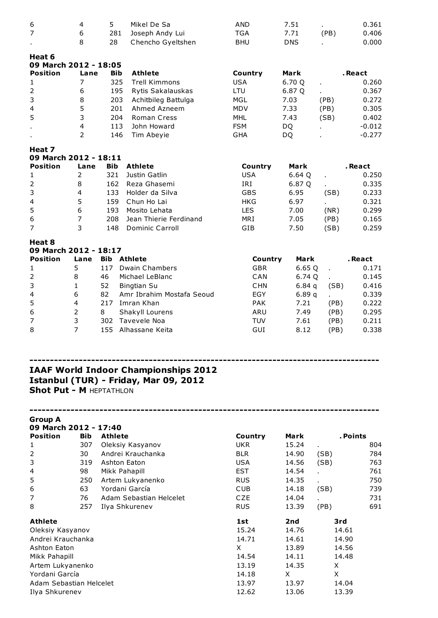| 7                                       | 6                       | 281            | Joseph Andy Lui                                                                      | <b>TGA</b>            | 7.71       | (PB)  | 0.406    |
|-----------------------------------------|-------------------------|----------------|--------------------------------------------------------------------------------------|-----------------------|------------|-------|----------|
|                                         | 8                       | 28             | Chencho Gyeltshen                                                                    | <b>BHU</b>            | <b>DNS</b> |       | 0.000    |
|                                         |                         |                |                                                                                      |                       |            |       |          |
| Heat 6                                  |                         |                |                                                                                      |                       |            |       |          |
| 09 March 2012 - 18:05                   |                         |                |                                                                                      |                       |            |       |          |
| <b>Position</b>                         | Lane                    | <b>Bib</b>     | <b>Athlete</b>                                                                       | Country               | Mark       |       | . React  |
| $1\,$                                   | $\overline{7}$          | 325            | <b>Trell Kimmons</b>                                                                 | <b>USA</b>            | 6.70 Q     |       | 0.260    |
| $\mathbf 2$                             | 6                       | 195            | Rytis Sakalauskas                                                                    | LTU                   | 6.87 Q     |       | 0.367    |
| 3                                       | 8                       | 203            | Achitbileg Battulga                                                                  | <b>MGL</b>            | 7.03       | (PB)  | 0.272    |
| 4                                       | 5                       | 201            | Ahmed Azneem                                                                         | <b>MDV</b>            | 7.33       | (PB)  | 0.305    |
| 5                                       | 3                       | 204            | Roman Cress                                                                          | <b>MHL</b>            | 7.43       | (SB)  | 0.402    |
|                                         | $\overline{\mathbf{4}}$ | 113            | John Howard                                                                          | <b>FSM</b>            | DQ         |       | $-0.012$ |
|                                         | $\overline{2}$          | 146            | Tim Abeyie                                                                           | <b>GHA</b>            | DQ         |       | $-0.277$ |
|                                         |                         |                |                                                                                      |                       |            |       |          |
| Heat 7<br>09 March 2012 - 18:11         |                         |                |                                                                                      |                       |            |       |          |
| <b>Position</b>                         | Lane                    | <b>Bib</b>     | <b>Athlete</b>                                                                       |                       | Mark       |       | . React  |
|                                         | $\overline{2}$          | 321            | Justin Gatlin                                                                        | Country<br><b>USA</b> |            |       |          |
| $1\,$                                   |                         |                |                                                                                      |                       | 6.64 Q     |       | 0.250    |
| $\mathsf{2}\,$                          | 8                       | 162            | Reza Ghasemi                                                                         | IRI                   | 6.87 Q     |       | 0.335    |
| 3                                       | 4                       | 133            | Holder da Silva                                                                      | <b>GBS</b>            | 6.95       | (SB)  | 0.233    |
| $\overline{\mathcal{L}}$                | 5                       | 159            | Chun Ho Lai                                                                          | <b>HKG</b>            | 6.97       |       | 0.321    |
| 5                                       | 6                       | 193            | Mosito Lehata                                                                        | <b>LES</b>            | 7.00       | (NR)  | 0.299    |
| $\boldsymbol{6}$                        | $\overline{7}$          | 208            | Jean Thierie Ferdinand                                                               | MRI                   | 7.05       | (PB)  | 0.165    |
| $\overline{7}$                          | 3                       | 148            | <b>Dominic Carroll</b>                                                               | GIB                   | 7.50       | (SB)  | 0.259    |
| Heat 8                                  |                         |                |                                                                                      |                       |            |       |          |
| 09 March 2012 - 18:17                   |                         |                |                                                                                      |                       |            |       |          |
| <b>Position</b>                         | Lane                    | <b>Bib</b>     | Athlete                                                                              | Country               | Mark       |       | . React  |
| 1                                       | 5                       | 117            | <b>Dwain Chambers</b>                                                                | <b>GBR</b>            | 6.65Q      |       | 0.171    |
| $\mathsf{2}\,$                          | 8                       | 46             | Michael LeBlanc                                                                      | CAN                   | 6.74 Q     |       | 0.145    |
| 3                                       | $\mathbf{1}$            | 52             | <b>Bingtian Su</b>                                                                   | <b>CHN</b>            | 6.84q      | (SB)  | 0.416    |
| $\overline{\mathbf{4}}$                 | 6                       | 82             | Amr Ibrahim Mostafa Seoud                                                            | EGY                   | 6.89q      |       | 0.339    |
|                                         |                         |                |                                                                                      |                       |            |       |          |
| 5                                       | $\overline{\mathbf{4}}$ |                | 217 Imran Khan                                                                       | <b>PAK</b>            | 7.21       | (PB)  | 0.222    |
| 6                                       | $\overline{2}$          | 8              | Shakyll Lourens                                                                      | ARU                   | 7.49       | (PB)  | 0.295    |
| $\overline{7}$                          | 3                       | 302            | Tavevele Noa                                                                         | <b>TUV</b>            | 7.61       | (PB)  | 0.211    |
| 8                                       | $\overline{7}$          | 155            | Alhassane Keita                                                                      | GUI                   | 8.12       | (PB)  | 0.338    |
|                                         |                         |                |                                                                                      |                       |            |       |          |
|                                         |                         |                | <b>IAAF World Indoor Championships 2012</b><br>Istanbul (TUR) - Friday, Mar 09, 2012 |                       |            |       |          |
| <b>Shot Put - M HEPTATHLON</b>          |                         |                |                                                                                      |                       |            |       |          |
|                                         |                         |                |                                                                                      |                       |            |       |          |
| <b>Group A</b><br>09 March 2012 - 17:40 |                         |                |                                                                                      |                       |            |       |          |
| <b>Position</b>                         | <b>Bib</b>              | <b>Athlete</b> |                                                                                      | Country               | Mark       |       | . Points |
| $\mathbf{1}$                            | 307                     |                | Oleksiy Kasyanov                                                                     | <b>UKR</b>            | 15.24      |       | 804      |
| $\overline{2}$                          | 30                      |                | Andrei Krauchanka                                                                    | <b>BLR</b>            | 14.90      | (SB)  | 784      |
| 3                                       | 319                     | Ashton Eaton   |                                                                                      | <b>USA</b>            | 14.56      | (SB)  | 763      |
| 4                                       | 98                      | Mikk Pahapill  |                                                                                      | <b>EST</b>            | 14.54      |       | 761      |
| 5                                       |                         |                |                                                                                      | <b>RUS</b>            |            | ×.    |          |
|                                         | 250                     |                | Artem Lukyanenko                                                                     |                       | 14.35      | ×.    | 750      |
| 6                                       | 63                      |                | Yordani García                                                                       | <b>CUB</b>            | 14.18      | (SB)  | 739      |
| 7                                       | 76                      |                | Adam Sebastian Helcelet                                                              | <b>CZE</b>            | 14.04      | ä.    | 731      |
| 8                                       | 257                     |                | Ilya Shkurenev                                                                       | <b>RUS</b>            | 13.39      | (PB)  | 691      |
| <b>Athlete</b>                          |                         |                |                                                                                      | 1st                   | 2nd        | 3rd   |          |
| Oleksiy Kasyanov                        |                         |                |                                                                                      | 15.24                 | 14.76      | 14.61 |          |
| Andrei Krauchanka                       |                         |                |                                                                                      | 14.71                 | 14.61      | 14.90 |          |
|                                         |                         |                |                                                                                      |                       |            |       |          |
| Ashton Eaton                            |                         |                |                                                                                      | X                     | 13.89      | 14.56 |          |
| Mikk Pahapill                           |                         |                |                                                                                      | 14.54                 | 14.11      | 14.48 |          |
| Artem Lukyanenko                        |                         |                |                                                                                      | 13.19                 | 14.35      | X     |          |
| Yordani García                          |                         |                |                                                                                      | 14.18                 | X          | X     |          |
| Adam Sebastian Helcelet                 |                         |                |                                                                                      | 13.97                 | 13.97      | 14.04 |          |
| Ilya Shkurenev                          |                         |                |                                                                                      | 12.62                 | 13.06      | 13.39 |          |

6 4 5 Mikel De Sa AND 7.51 . 0.361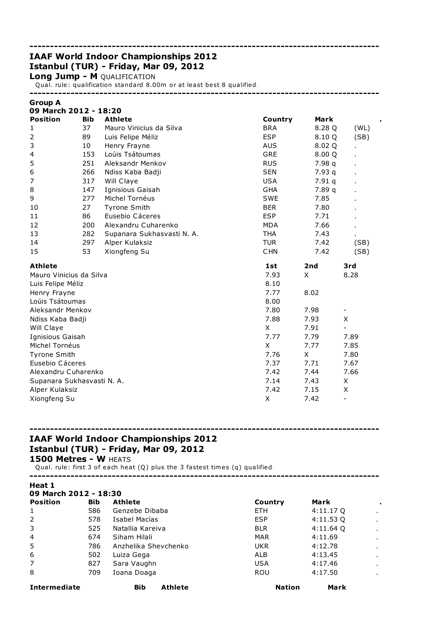# IAAF World Indoor Championships 2012 Istanbul (TUR) - Friday, Mar 09, 2012

Long Jump - M QUALIFICATION

Qual. rule: qualification standard 8.00m or at least best 8 qualified.

-------------------------------------------------------------------------------------

-------------------------------------------------------------------------------------

| I<br>roun |  |
|-----------|--|
|-----------|--|

| 09 March 2012 - 18:20      |            |                            |            |        |                          |  |
|----------------------------|------------|----------------------------|------------|--------|--------------------------|--|
| <b>Position</b>            | <b>Bib</b> | <b>Athlete</b>             | Country    | Mark   |                          |  |
| 1                          | 37         | Mauro Vinicius da Silva    | <b>BRA</b> | 8.28 Q | (WL)                     |  |
| $\overline{2}$             | 89         | Luis Felipe Méliz          | <b>ESP</b> | 8.10 Q | (SB)                     |  |
| 3                          | 10         | Henry Frayne               | <b>AUS</b> | 8.02 Q |                          |  |
| 4                          | 153        | Loúis Tsátoumas            | GRE        | 8.00 Q |                          |  |
| 5                          | 251        | Aleksandr Menkov           | <b>RUS</b> | 7.98 q |                          |  |
| 6                          | 266        | Ndiss Kaba Badji           | <b>SEN</b> | 7.93q  |                          |  |
| 7                          | 317        | Will Claye                 | <b>USA</b> | 7.91q  |                          |  |
| 8                          | 147        | Ignisious Gaisah           | <b>GHA</b> | 7.89 q |                          |  |
| 9                          | 277        | Michel Tornéus             | <b>SWE</b> | 7.85   |                          |  |
| 10                         | 27         | <b>Tyrone Smith</b>        | <b>BER</b> | 7.80   |                          |  |
| 11                         | 86         | Eusebio Cáceres            | <b>ESP</b> | 7.71   |                          |  |
| 12                         | 200        | Alexandru Cuharenko        | <b>MDA</b> | 7.66   |                          |  |
| 13                         | 282        | Supanara Sukhasvasti N. A. | <b>THA</b> | 7.43   |                          |  |
| 14                         | 297        | Alper Kulaksiz             | <b>TUR</b> | 7.42   | (SB)                     |  |
| 15                         | 53         | Xiongfeng Su               | <b>CHN</b> | 7.42   | (SB)                     |  |
| <b>Athlete</b>             |            |                            | 1st        | 2nd    | 3rd                      |  |
| Mauro Vinicius da Silva    |            |                            | 7.93       | X      | 8.28                     |  |
| Luis Felipe Méliz          |            |                            | 8.10       |        |                          |  |
| Henry Frayne               |            |                            | 7.77       | 8.02   |                          |  |
| Loúis Tsátoumas            |            |                            | 8.00       |        |                          |  |
| Aleksandr Menkov           |            |                            | 7.80       | 7.98   |                          |  |
| Ndiss Kaba Badji           |            |                            | 7.88       | 7.93   | X                        |  |
| Will Claye                 |            |                            | X          | 7.91   |                          |  |
| Ignisious Gaisah           |            |                            | 7.77       | 7.79   | 7.89                     |  |
| Michel Tornéus             |            |                            | X          | 7.77   | 7.85                     |  |
| <b>Tyrone Smith</b>        |            |                            | 7.76       | X      | 7.80                     |  |
| Eusebio Cáceres            |            |                            | 7.37       | 7.71   | 7.67                     |  |
| Alexandru Cuharenko        |            |                            | 7.42       | 7.44   | 7.66                     |  |
| Supanara Sukhasvasti N. A. |            |                            | 7.14       | 7.43   | X                        |  |
| Alper Kulaksiz             |            |                            | 7.42       | 7.15   | X                        |  |
| Xiongfeng Su               |            |                            | X          | 7.42   | $\overline{\phantom{0}}$ |  |

# ------------------------------------------------------------------------------------- IAAF World Indoor Championships 2012 Istanbul (TUR) - Friday, Mar 09, 2012

1500 Metres - W HEATS

Qual. rule: first 3 of each heat (Q) plus the 3 fastest times (q) qualified.

| Heat 1                |            |                              |               |           |                |
|-----------------------|------------|------------------------------|---------------|-----------|----------------|
| 09 March 2012 - 18:30 |            |                              |               |           |                |
| <b>Position</b>       | <b>Bib</b> | <b>Athlete</b>               | Country       | Mark      | ٠              |
| 1                     | 586        | Genzebe Dibaba               | ETH.          | 4:11.17 Q | $\cdot$        |
| 2                     | 578        | Isabel Macías                | <b>ESP</b>    | 4:11.53Q  | $\bullet$      |
| 3                     | 525        | Natallia Kareiva             | <b>BLR</b>    | 4:11.64 Q | $\bullet$      |
| 4                     | 674        | Siham Hilali                 | <b>MAR</b>    | 4:11.69   | $\sim$         |
| 5                     | 786        | Anzhelika Shevchenko         | <b>UKR</b>    | 4:12.78   | $\sim$         |
| 6                     | 502        | Luiza Gega                   | ALB           | 4:13.45   | $\blacksquare$ |
| 7                     | 827        | Sara Vaughn                  | <b>USA</b>    | 4:17.46   | $\blacksquare$ |
| 8                     | 709        | Ioana Doaga                  | <b>ROU</b>    | 4:17.50   | $\mathbf{r}$   |
| <b>Intermediate</b>   |            | <b>Athlete</b><br><b>Bib</b> | <b>Nation</b> | Mark      |                |

-------------------------------------------------------------------------------------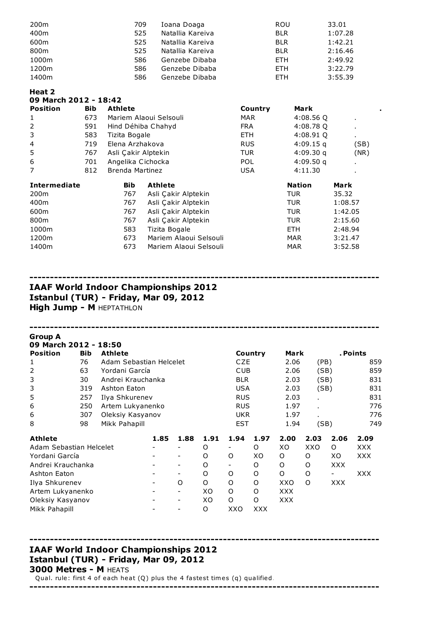| 200 <sub>m</sub> | 709 | Ioana Doaga      | <b>ROU</b> | 33.01   |
|------------------|-----|------------------|------------|---------|
| 400m             | 525 | Natallia Kareiva | <b>BLR</b> | 1:07.28 |
| 600m             | 525 | Natallia Kareiva | <b>BLR</b> | 1:42.21 |
| 800m             | 525 | Natallia Kareiva | <b>BLR</b> | 2:16.46 |
| 1000m            | 586 | Genzebe Dibaba   | ETH.       | 2:49.92 |
| 1200m            | 586 | Genzebe Dibaba   | ETH.       | 3:22.79 |
| 1400m            | 586 | Genzebe Dibaba   | <b>FTH</b> | 3:55.39 |

| Heat 2        |       |
|---------------|-------|
| 00 Mauel 2012 | 10.A2 |

| UY MAFCN ZUIZ - 18:4Z |            |                        |                        |            |               |                |  |
|-----------------------|------------|------------------------|------------------------|------------|---------------|----------------|--|
| <b>Position</b>       | <b>Bib</b> | <b>Athlete</b>         |                        | Country    | <b>Mark</b>   |                |  |
| 1                     | 673        | Mariem Alaoui Selsouli |                        | MAR        | 4:08.56Q      | $\blacksquare$ |  |
| $\overline{2}$        | 591        |                        | Hind Déhiba Chahyd     | <b>FRA</b> | 4:08.78 Q     | $\bullet$      |  |
| 3                     | 583        | Tizita Bogale          |                        | <b>ETH</b> | 4:08.91 Q     | $\bullet$      |  |
| 4                     | 719        | Elena Arzhakova        |                        | <b>RUS</b> | $4:09.15$ q   | (SB)           |  |
| 5                     | 767        | Asli Çakir Alptekin    |                        | <b>TUR</b> | 4:09.30q      | (NR)           |  |
| 6                     | 701        | Angelika Cichocka      |                        | <b>POL</b> | 4:09.50q      | $\blacksquare$ |  |
| 7                     | 812        | Brenda Martinez        |                        | <b>USA</b> | 4:11.30       |                |  |
| <b>Intermediate</b>   |            | <b>Bib</b>             | <b>Athlete</b>         |            | <b>Nation</b> | <b>Mark</b>    |  |
| 200 <sub>m</sub>      |            | 767                    | Asli Çakir Alptekin    |            | TUR.          | 35.32          |  |
| 400m                  |            | 767                    | Asli Çakir Alptekin    |            | <b>TUR</b>    | 1:08.57        |  |
| 600m                  |            | 767                    | Asli Çakir Alptekin    |            | <b>TUR</b>    | 1:42.05        |  |
| 800m                  |            | 767                    | Asli Çakir Alptekin    |            | <b>TUR</b>    | 2:15.60        |  |
| 1000m                 |            | 583                    | Tizita Bogale          |            | ETH.          | 2:48.94        |  |
| 1200m                 |            | 673                    | Mariem Alaoui Selsouli |            | <b>MAR</b>    | 3:21.47        |  |
| 1400m                 |            | 673                    | Mariem Alaoui Selsouli |            | <b>MAR</b>    | 3:52.58        |  |

## IAAF World Indoor Championships 2012 Istanbul (TUR) - Friday, Mar 09, 2012 **High Jump - M HEPTATHLON**

## ------------------------------------------------------------------------------------- Group A 09 March 2012 - 18:50 Position Bib Athlete **Country Mark** . Points 1 76 Adam Sebastian Helcelet CZE 2.06 (PB) 859 2 63 Yordani García CUB 2.06 (SB) 859 3 30 Andrei Krauchanka BLR 2.03 (SB) 831 3 319 Ashton Eaton USA 2.03 (SB) 831 5 257 Ilya Shkurenev RUS 2.03 . 831 6 250 Artem Lukyanenko RUS 1.97 . 776 6 307 Oleksiy Kasyanov UKR 1.97 . 776 8 98 Mikk Pahapill **EST** 1.94 (SB) 749 Athlete 1.85 1.88 1.91 1.94 1.97 2.00 2.03 2.06 2.09 Adam Sebastian Helcelet - - O - O XO XXO O XXX Yordani García - - O O XO O O XO XXX Andrei Krauchanka - - O - O O O XXX Ashton Eaton - - O O O O O - XXX Ilya Shkurenev - O O O O XXO O XXX Artem Lukyanenko - - XO O O XXX Oleksiy Kasyanov - - XO O O XXX Mikk Pahapill **All Accord Contract Accord Accord Contract Accord Accord Accord Accord Accord Accord Accord Accord Accord Accord Accord Accord Accord Accord Accord Accord Accord Accord Accord Accord Accord Accord Accord Acc**

## IAAF World Indoor Championships 2012 Istanbul (TUR) - Friday, Mar 09, 2012 3000 Metres - M HEATS

Qual. rule: first 4 of each heat (Q) plus the 4 fastest times (q) qualified.

-------------------------------------------------------------------------------------

------------------------------------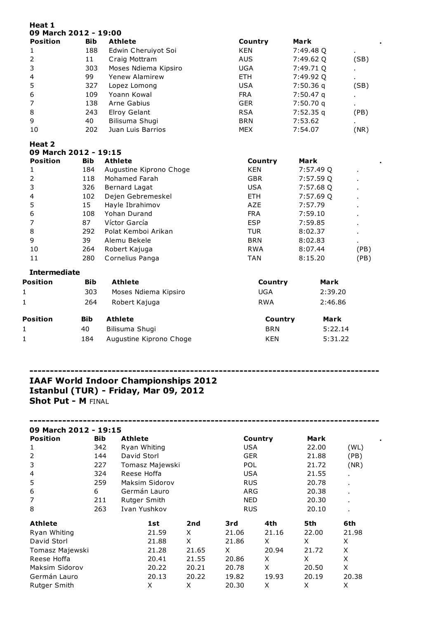| Heat 1<br>09 March 2012 - 19:00 |            |                         |            |             |      |
|---------------------------------|------------|-------------------------|------------|-------------|------|
| <b>Position</b>                 | <b>Bib</b> | <b>Athlete</b>          | Country    | <b>Mark</b> |      |
| 1                               | 188        | Edwin Cheruiyot Soi     | <b>KEN</b> | 7:49.48 Q   |      |
| $\overline{2}$                  | 11         | Craig Mottram           | <b>AUS</b> | 7:49.62 Q   | (SB) |
| 3                               | 303        | Moses Ndiema Kipsiro    | <b>UGA</b> | 7:49.71 Q   |      |
| $\overline{4}$                  | 99         | Yenew Alamirew          | <b>ETH</b> | 7:49.92 Q   |      |
| 5                               | 327        | Lopez Lomong            | <b>USA</b> | 7:50.36 q   | (SB) |
| 6                               | 109        | Yoann Kowal             | <b>FRA</b> | 7:50.47 q   |      |
| 7                               | 138        | Arne Gabius             | <b>GER</b> | 7:50.70 q   |      |
| 8                               | 243        | <b>Elroy Gelant</b>     | <b>RSA</b> | 7:52.35 q   | (PB) |
| $\mathsf 9$                     | 40         | Bilisuma Shugi          | <b>BRN</b> | 7:53.62     |      |
| 10                              | 202        | Juan Luis Barrios       | <b>MEX</b> | 7:54.07     | (NR) |
| Heat 2                          |            |                         |            |             |      |
| 09 March 2012 - 19:15           |            |                         |            |             |      |
| <b>Position</b>                 | <b>Bib</b> | <b>Athlete</b>          | Country    | <b>Mark</b> |      |
| 1                               | 184        | Augustine Kiprono Choge | <b>KEN</b> | 7:57.49 Q   |      |
| $\overline{2}$                  | 118        | Mohamed Farah           | <b>GBR</b> | 7:57.59 Q   |      |
| 3                               | 326        | <b>Bernard Lagat</b>    | <b>USA</b> | 7:57.68 Q   |      |
| $\overline{\mathbf{4}}$         | 102        | Dejen Gebremeskel       | <b>ETH</b> | 7:57.69 Q   |      |
| 5                               | 15         | Hayle Ibrahimov         | <b>AZE</b> | 7:57.79     |      |
| 6                               | 108        | Yohan Durand            | <b>FRA</b> | 7:59.10     |      |
| 7                               | 87         | Víctor García           | <b>ESP</b> | 7:59.85     |      |
| 8                               | 292        | Polat Kemboi Arikan     | <b>TUR</b> | 8:02.37     | ٠    |
| 9                               | 39         | Alemu Bekele            | <b>BRN</b> | 8:02.83     |      |
| 10                              | 264        | Robert Kajuga           | <b>RWA</b> | 8:07.44     | (PB) |
| 11                              | 280        | Cornelius Panga         | <b>TAN</b> | 8:15.20     | (PB) |
| <b>Intermediate</b>             |            |                         |            |             |      |
| Position                        | <b>Bib</b> | <b>Athlete</b>          | Country    | Mark        |      |
| 1                               | 303        | Moses Ndiema Kipsiro    | <b>UGA</b> | 2:39.20     |      |
| 1                               | 264        | Robert Kajuga           | <b>RWA</b> | 2:46.86     |      |
| Position                        | <b>Bib</b> | <b>Athlete</b>          | Country    | Mark        |      |
| 1                               | 40         | Bilisuma Shugi          | <b>BRN</b> | 5:22.14     |      |

| л. |     | Bilisuma Shugi          | <b>BRN</b> | 5:22.14 |
|----|-----|-------------------------|------------|---------|
|    | 184 | Augustine Kiprono Choge | <b>KEN</b> | 5:31.22 |

## ------------------------------------------------------------------------------------- IAAF World Indoor Championships 2012 Istanbul (TUR) - Friday, Mar 09, 2012 Shot Put - M FINAL

## ------------------------------------------------------------------------------------- 09 March 2012 - 19:15 Position Bib Athlete Country Mark . 1 342 Ryan Whiting USA 22.00 (WL) 2 144 David Storl GER 21.88 (PB) 3 227 Tomasz Majewski POL 21.72 (NR) 4 324 Reese Hoffa USA 21.55 . 5 259 Maksim Sidorov RUS 20.78 . 6 6 Germán Lauro ARG 20.38 . 7 211 Rutger Smith NED 20.30 . 8 263 Ivan Yushkov RUS 20.10 . Athlete 1st 2nd 3rd 4th 5th 6th Ryan Whiting 21.59 X 21.06 21.16 22.00 21.98 David Storl 21.88 X 21.86 X X X Tomasz Majewski 21.28 21.65 X 20.94 21.72 X Reese Hoffa 20.41 21.55 20.86 X X X Maksim Sidorov 20.22 20.21 20.78 X 20.50 X Germán Lauro 20.13 20.22 19.82 19.93 20.19 20.38 Rutger Smith  $X$  X  $X$  20.30 X X X X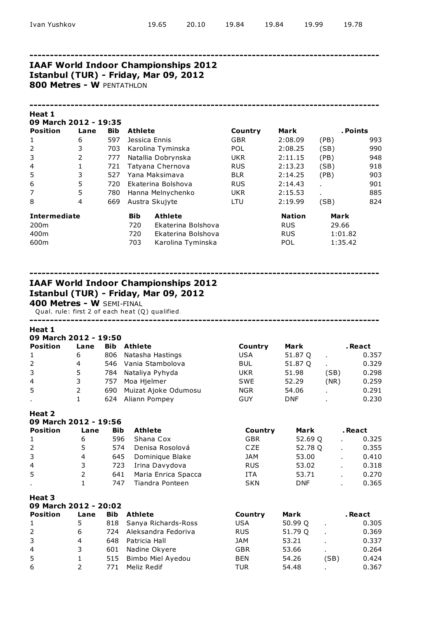## IAAF World Indoor Championships 2012 Istanbul (TUR) - Friday, Mar 09, 2012

800 Metres - W PENTATHLON

#### -------------------------------------------------------------------------------------

| Heat 1                |      |            |                |                    |            |               |                          |     |
|-----------------------|------|------------|----------------|--------------------|------------|---------------|--------------------------|-----|
| 09 March 2012 - 19:35 |      |            |                |                    |            |               |                          |     |
| <b>Position</b>       | Lane | <b>Bib</b> | <b>Athlete</b> |                    | Country    | Mark          | . Points                 |     |
| 1                     | 6    | 597        |                | Jessica Ennis      | <b>GBR</b> | 2:08.09       | (PB)                     | 993 |
| $\overline{2}$        | 3    | 703        |                | Karolina Tyminska  | <b>POL</b> | 2:08.25       | (SB)                     | 990 |
| 3                     | 2    | 777        |                | Natallia Dobrynska | <b>UKR</b> | 2:11.15       | (PB)                     | 948 |
| 4                     | 1    | 721        |                | Tatyana Chernova   | <b>RUS</b> | 2:13.23       | (SB)                     | 918 |
| 5                     | 3    | 527        |                | Yana Maksimava     | <b>BLR</b> | 2:14.25       | (PB)                     | 903 |
| 6                     | 5    | 720        |                | Ekaterina Bolshova | <b>RUS</b> | 2:14.43       | $\overline{\phantom{a}}$ | 901 |
| 7                     | 5    | 780        |                | Hanna Melnychenko  | <b>UKR</b> | 2:15.53       |                          | 885 |
| 8                     | 4    | 669        |                | Austra Skujyte     | LTU        | 2:19.99       | (SB)                     | 824 |
| <b>Intermediate</b>   |      |            | <b>Bib</b>     | <b>Athlete</b>     |            | <b>Nation</b> | <b>Mark</b>              |     |
| 200 <sub>m</sub>      |      |            | 720            | Ekaterina Bolshova |            | <b>RUS</b>    | 29.66                    |     |
| 400m                  |      |            | 720            | Ekaterina Bolshova |            | <b>RUS</b>    | 1:01.82                  |     |
| 600m                  |      |            | 703            | Karolina Tyminska  |            | POL           | 1:35.42                  |     |

-------------------------------------------------------------------------------------

## IAAF World Indoor Championships 2012 Istanbul (TUR) - Friday, Mar 09, 2012

400 Metres - W SEMI-FINAL

Qual. rule: first 2 of each heat (Q) qualified.

## Heat 1

| 09 March 2012 - 19:50 |      |                      |            |            |      |         |  |  |  |  |  |  |
|-----------------------|------|----------------------|------------|------------|------|---------|--|--|--|--|--|--|
| Lane                  | Bib  | <b>Athlete</b>       | Country    | Mark       |      | . React |  |  |  |  |  |  |
| 6                     | 806  | Natasha Hastings     | USA        | 51.87 Q    |      | 0.357   |  |  |  |  |  |  |
| 4                     | 546. | Vania Stambolova     | <b>BUL</b> | 51.87 Q    |      | 0.329   |  |  |  |  |  |  |
| 5                     | 784  | Nataliya Pyhyda      | UKR        | 51.98      | (SB) | 0.298   |  |  |  |  |  |  |
| 3                     | 757  | Moa Hjelmer          | <b>SWE</b> | 52.29      | (NR) | 0.259   |  |  |  |  |  |  |
| 2                     | 690  | Muizat Ajoke Odumosu | <b>NGR</b> | 54.06      |      | 0.291   |  |  |  |  |  |  |
|                       | 624  | Aliann Pompey        | GUY        | <b>DNF</b> |      | 0.230   |  |  |  |  |  |  |
|                       |      |                      |            |            |      |         |  |  |  |  |  |  |

-------------------------------------------------------------------------------------

#### Heat 2

| 09 March 2012 - 19:56 |      |            |                     |            |            |                |         |  |  |  |  |  |
|-----------------------|------|------------|---------------------|------------|------------|----------------|---------|--|--|--|--|--|
| <b>Position</b>       | Lane | <b>Bib</b> | <b>Athlete</b>      | Country    | Mark       |                | . React |  |  |  |  |  |
| 1                     | 6    | 596        | Shana Cox           | <b>GBR</b> | 52.69 Q    |                | 0.325   |  |  |  |  |  |
| $2^{\circ}$           | 5    | 574        | Denisa Rosolová     | <b>CZE</b> | 52.78 Q    |                | 0.355   |  |  |  |  |  |
| $\mathbf{3}$          | 4    | 645        | Dominique Blake     | <b>JAM</b> | 53.00      |                | 0.410   |  |  |  |  |  |
| $\overline{4}$        | 3    | 723        | Irina Davydova      | <b>RUS</b> | 53.02      | $\blacksquare$ | 0.318   |  |  |  |  |  |
| 5                     |      | 641        | Maria Enrica Spacca | <b>ITA</b> | 53.71      | $\blacksquare$ | 0.270   |  |  |  |  |  |
|                       |      | 747        | Tiandra Ponteen     | <b>SKN</b> | <b>DNF</b> |                | 0.365   |  |  |  |  |  |

| 09 March 2012 - 20:02 |      |            |                         |            |         |      |         |  |  |  |  |  |
|-----------------------|------|------------|-------------------------|------------|---------|------|---------|--|--|--|--|--|
| Position              | Lane | <b>Bib</b> | <b>Athlete</b>          | Country    | Mark    |      | . React |  |  |  |  |  |
| 1                     | 5.   |            | 818 Sanya Richards-Ross | <b>USA</b> | 50.99 Q |      | 0.305   |  |  |  |  |  |
| 2                     | 6    |            | 724 Aleksandra Fedoriva | <b>RUS</b> | 51.79 Q |      | 0.369   |  |  |  |  |  |
| $\mathbf{3}$          | 4    | 648        | Patricia Hall           | JAM        | 53.21   |      | 0.337   |  |  |  |  |  |
| $\overline{4}$        | 3    | 601        | Nadine Okyere           | <b>GBR</b> | 53.66   |      | 0.264   |  |  |  |  |  |
| -5                    |      | 515        | Bimbo Miel Ayedou       | <b>BEN</b> | 54.26   | (SB) | 0.424   |  |  |  |  |  |
| 6                     |      | 771        | Meliz Redif             | TUR        | 54.48   |      | 0.367   |  |  |  |  |  |